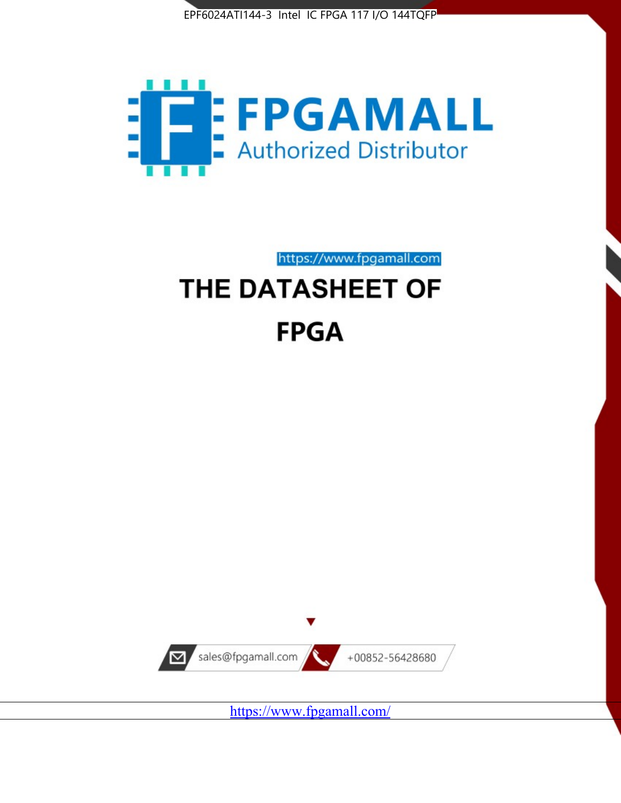



https://www.fpgamall.com THE DATASHEET OF

# **FPGA**



<https://www.fpgamall.com/>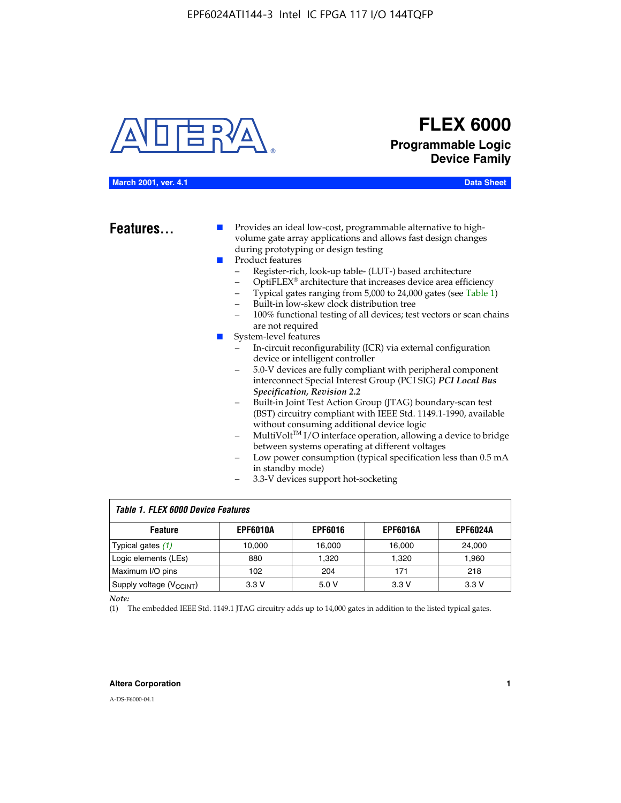

## **FLEX 6000 Programmable Logic Device Family**

#### **March 2001, ver. 4.1 Data Sheet**

**Features...** ■ Provides an ideal low-cost, programmable alternative to highvolume gate array applications and allows fast design changes during prototyping or design testing

- Product features
	- Register-rich, look-up table- (LUT-) based architecture
		- OptiFLEX® architecture that increases device area efficiency
	- Typical gates ranging from 5,000 to 24,000 gates (see Table 1)
	- Built-in low-skew clock distribution tree
	- 100% functional testing of all devices; test vectors or scan chains are not required
- System-level features
	- In-circuit reconfigurability (ICR) via external configuration device or intelligent controller
	- 5.0-V devices are fully compliant with peripheral component interconnect Special Interest Group (PCI SIG) *PCI Local Bus Specification, Revision 2.2*
	- Built-in Joint Test Action Group (JTAG) boundary-scan test (BST) circuitry compliant with IEEE Std. 1149.1-1990, available without consuming additional device logic
	- MultiVolt™ I/O interface operation, allowing a device to bridge between systems operating at different voltages
	- Low power consumption (typical specification less than 0.5 mA in standby mode)
	- 3.3-V devices support hot-socketing

| <b>Table 1. FLEX 6000 Device Features</b> |                 |                |                 |                 |  |  |  |
|-------------------------------------------|-----------------|----------------|-----------------|-----------------|--|--|--|
| <b>Feature</b>                            | <b>EPF6010A</b> | <b>EPF6016</b> | <b>EPF6016A</b> | <b>EPF6024A</b> |  |  |  |
| Typical gates $(1)$                       | 10.000          | 16.000         | 16.000          | 24.000          |  |  |  |
| Logic elements (LEs)                      | 880             | 1.320          | 1.320           | 1,960           |  |  |  |
| Maximum I/O pins                          | 102             | 204            | 171             | 218             |  |  |  |
| Supply voltage (V <sub>CCINT</sub> )      | 3.3V            | 5.0V           | 3.3V            | 3.3V            |  |  |  |

*Note:*

(1) The embedded IEEE Std. 1149.1 JTAG circuitry adds up to 14,000 gates in addition to the listed typical gates.

#### **Altera Corporation 1**

A-DS-F6000-04.1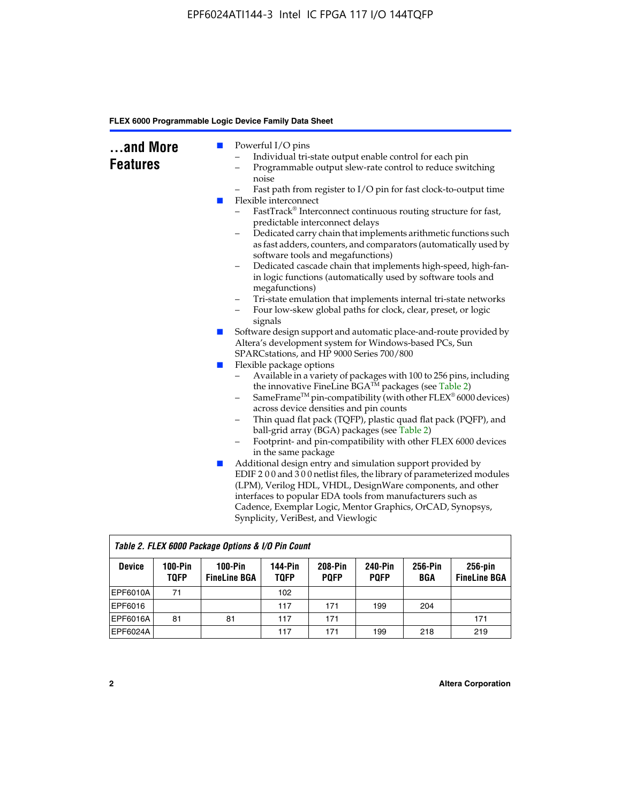| and More<br><b>Features</b><br>m. | Powerful I/O pins<br>Individual tri-state output enable control for each pin<br>Programmable output slew-rate control to reduce switching<br>-<br>noise<br>Fast path from register to I/O pin for fast clock-to-output time<br>Flexible interconnect<br>FastTrack® Interconnect continuous routing structure for fast,<br>predictable interconnect delays<br>Dedicated carry chain that implements arithmetic functions such<br>as fast adders, counters, and comparators (automatically used by<br>software tools and megafunctions)<br>Dedicated cascade chain that implements high-speed, high-fan-<br>$\qquad \qquad -$<br>in logic functions (automatically used by software tools and<br>megafunctions)<br>Tri-state emulation that implements internal tri-state networks<br>$\qquad \qquad -$<br>Four low-skew global paths for clock, clear, preset, or logic<br>$\qquad \qquad -$<br>signals |
|-----------------------------------|--------------------------------------------------------------------------------------------------------------------------------------------------------------------------------------------------------------------------------------------------------------------------------------------------------------------------------------------------------------------------------------------------------------------------------------------------------------------------------------------------------------------------------------------------------------------------------------------------------------------------------------------------------------------------------------------------------------------------------------------------------------------------------------------------------------------------------------------------------------------------------------------------------|
| ш                                 | Software design support and automatic place-and-route provided by<br>Altera's development system for Windows-based PCs, Sun<br>SPARCstations, and HP 9000 Series 700/800                                                                                                                                                                                                                                                                                                                                                                                                                                                                                                                                                                                                                                                                                                                               |
| ш<br>L.                           | Flexible package options<br>Available in a variety of packages with 100 to 256 pins, including<br>$\qquad \qquad -$<br>the innovative FineLine BGA <sup>TM</sup> packages (see Table 2)<br>SameFrame <sup>™</sup> pin-compatibility (with other FLEX <sup>®</sup> 6000 devices)<br>$\qquad \qquad -$<br>across device densities and pin counts<br>Thin quad flat pack (TQFP), plastic quad flat pack (PQFP), and<br>-<br>ball-grid array (BGA) packages (see Table 2)<br>Footprint- and pin-compatibility with other FLEX 6000 devices<br>in the same package<br>Additional design entry and simulation support provided by<br>EDIF 200 and 300 netlist files, the library of parameterized modules<br>(LPM), Verilog HDL, VHDL, DesignWare components, and other                                                                                                                                      |
|                                   | interfaces to popular EDA tools from manufacturers such as<br>Cadence, Exemplar Logic, Mentor Graphics, OrCAD, Synopsys,<br>Synplicity, VeriBest, and Viewlogic                                                                                                                                                                                                                                                                                                                                                                                                                                                                                                                                                                                                                                                                                                                                        |

| Table 2. FLEX 6000 Package Options & I/O Pin Count |                          |                                  |                        |                               |                               |                |                                   |
|----------------------------------------------------|--------------------------|----------------------------------|------------------------|-------------------------------|-------------------------------|----------------|-----------------------------------|
| <b>Device</b>                                      | $100-Pin$<br><b>TQFP</b> | $100-Pin$<br><b>FineLine BGA</b> | 144-Pin<br><b>TOFP</b> | <b>208-Pin</b><br><b>POFP</b> | <b>240-Pin</b><br><b>POFP</b> | 256-Pin<br>BGA | $256$ -pin<br><b>FineLine BGA</b> |
| EPF6010A                                           | 71                       |                                  | 102                    |                               |                               |                |                                   |
| EPF6016                                            |                          |                                  | 117                    | 171                           | 199                           | 204            |                                   |
| IEPF6016A                                          | 81                       | 81                               | 117                    | 171                           |                               |                | 171                               |
| EPF6024A                                           |                          |                                  | 117                    | 171                           | 199                           | 218            | 219                               |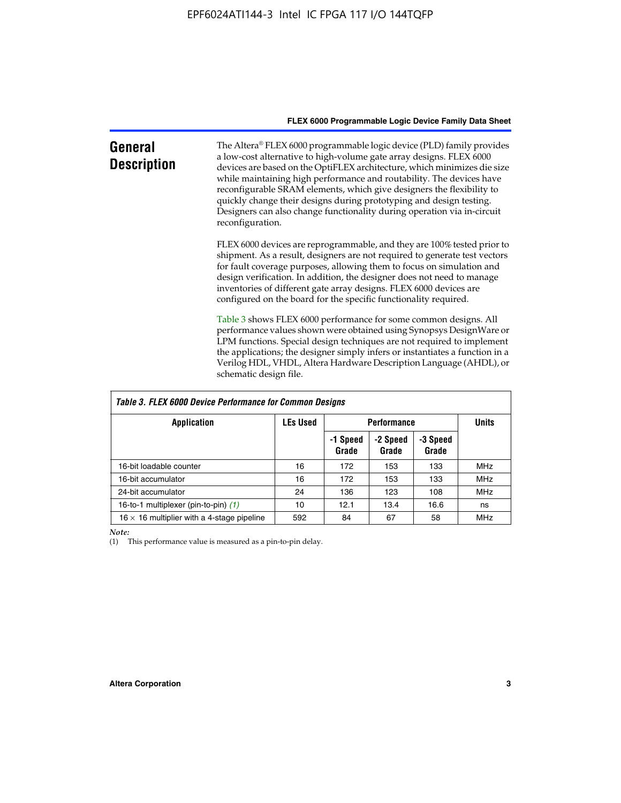| General<br><b>Description</b> | The Altera® FLEX 6000 programmable logic device (PLD) family provides<br>a low-cost alternative to high-volume gate array designs. FLEX 6000<br>devices are based on the OptiFLEX architecture, which minimizes die size<br>while maintaining high performance and routability. The devices have<br>reconfigurable SRAM elements, which give designers the flexibility to<br>quickly change their designs during prototyping and design testing.<br>Designers can also change functionality during operation via in-circuit<br>reconfiguration. |
|-------------------------------|-------------------------------------------------------------------------------------------------------------------------------------------------------------------------------------------------------------------------------------------------------------------------------------------------------------------------------------------------------------------------------------------------------------------------------------------------------------------------------------------------------------------------------------------------|
|                               | FLEX 6000 devices are reprogrammable, and they are 100% tested prior to<br>shipment. As a result, designers are not required to generate test vectors<br>for fault coverage purposes, allowing them to focus on simulation and<br>design verification. In addition, the designer does not need to manage<br>inventories of different gate array designs. FLEX 6000 devices are<br>configured on the board for the specific functionality required.                                                                                              |
|                               | Table 3 shows FLEX 6000 performance for some common designs. All<br>performance values shown were obtained using Synopsys DesignWare or<br>LPM functions. Special design techniques are not required to implement<br>the applications; the designer simply infers or instantiates a function in a<br>Verilog HDL, VHDL, Altera Hardware Description Language (AHDL), or<br>schematic design file.                                                                                                                                               |

| Table 3. FLEX 6000 Device Performance for Common Designs |                 |                    |                   |                   |            |  |
|----------------------------------------------------------|-----------------|--------------------|-------------------|-------------------|------------|--|
| <b>Application</b>                                       | <b>LEs Used</b> | <b>Performance</b> | <b>Units</b>      |                   |            |  |
|                                                          |                 | -1 Speed<br>Grade  | -2 Speed<br>Grade | -3 Speed<br>Grade |            |  |
| 16-bit loadable counter                                  | 16              | 172                | 153               | 133               | <b>MHz</b> |  |
| 16-bit accumulator                                       | 16              | 172                | 153               | 133               | MHz.       |  |
| 24-bit accumulator                                       | 24              | 136                | 123               | 108               | <b>MHz</b> |  |
| 16-to-1 multiplexer (pin-to-pin) (1)                     | 10              | 12.1               | 13.4              | 16.6              | ns         |  |
| $16 \times 16$ multiplier with a 4-stage pipeline        | 592             | 84                 | 67                | 58                | MHz        |  |

*Note:*

(1) This performance value is measured as a pin-to-pin delay.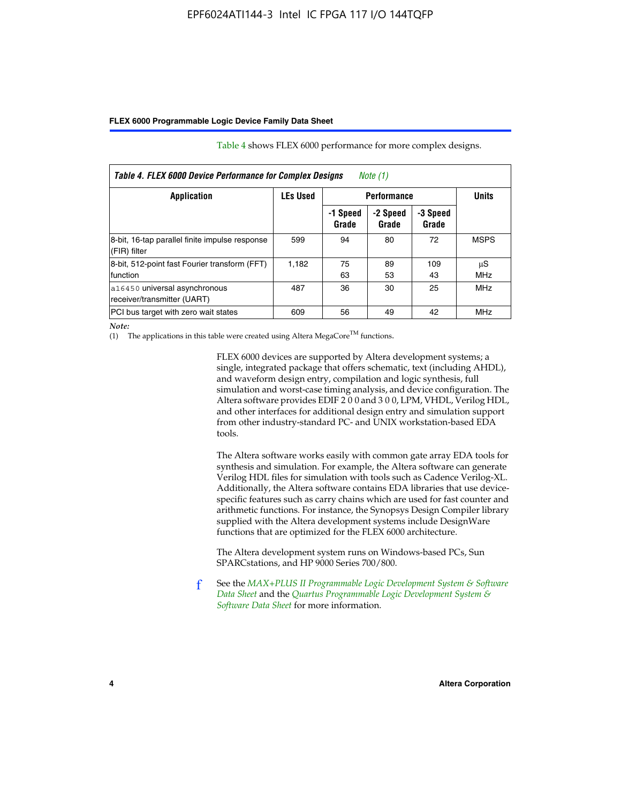| Table 4. FLEX 6000 Device Performance for Complex Designs<br>Note $(1)$ |                 |                    |                   |                   |                  |  |
|-------------------------------------------------------------------------|-----------------|--------------------|-------------------|-------------------|------------------|--|
| Application                                                             | <b>LEs Used</b> | <b>Performance</b> |                   |                   | <b>Units</b>     |  |
|                                                                         |                 | -1 Speed<br>Grade  | -2 Speed<br>Grade | -3 Speed<br>Grade |                  |  |
| 8-bit, 16-tap parallel finite impulse response<br>(FIR) filter          | 599             | 94                 | 80                | 72                | <b>MSPS</b>      |  |
| 8-bit, 512-point fast Fourier transform (FFT)<br>function               | 1.182           | 75<br>63           | 89<br>53          | 109<br>43         | μS<br><b>MHz</b> |  |
| a16450 universal asynchronous<br>receiver/transmitter (UART)            | 487             | 36                 | 30                | 25                | <b>MHz</b>       |  |
| PCI bus target with zero wait states                                    | 609             | 56                 | 49                | 42                | <b>MHz</b>       |  |

Table 4 shows FLEX 6000 performance for more complex designs.

*Note:*

(1) The applications in this table were created using Altera MegaCore<sup>TM</sup> functions.

FLEX 6000 devices are supported by Altera development systems; a single, integrated package that offers schematic, text (including AHDL), and waveform design entry, compilation and logic synthesis, full simulation and worst-case timing analysis, and device configuration. The Altera software provides EDIF 2 0 0 and 3 0 0, LPM, VHDL, Verilog HDL, and other interfaces for additional design entry and simulation support from other industry-standard PC- and UNIX workstation-based EDA tools.

The Altera software works easily with common gate array EDA tools for synthesis and simulation. For example, the Altera software can generate Verilog HDL files for simulation with tools such as Cadence Verilog-XL. Additionally, the Altera software contains EDA libraries that use devicespecific features such as carry chains which are used for fast counter and arithmetic functions. For instance, the Synopsys Design Compiler library supplied with the Altera development systems include DesignWare functions that are optimized for the FLEX 6000 architecture.

The Altera development system runs on Windows-based PCs, Sun SPARCstations, and HP 9000 Series 700/800.

f See the *[MAX+PLUS II Programmable Logic Development System & Software](http://www.altera.com/literature/ds/dsmii.pdf)  [Data Sheet](http://www.altera.com/literature/ds/dsmii.pdf)* and the *[Quartus Programmable Logic Development System &](http://www.altera.com/literature/ds/quartus.pdf)  [Software Data Sheet](http://www.altera.com/literature/ds/quartus.pdf)* for more information.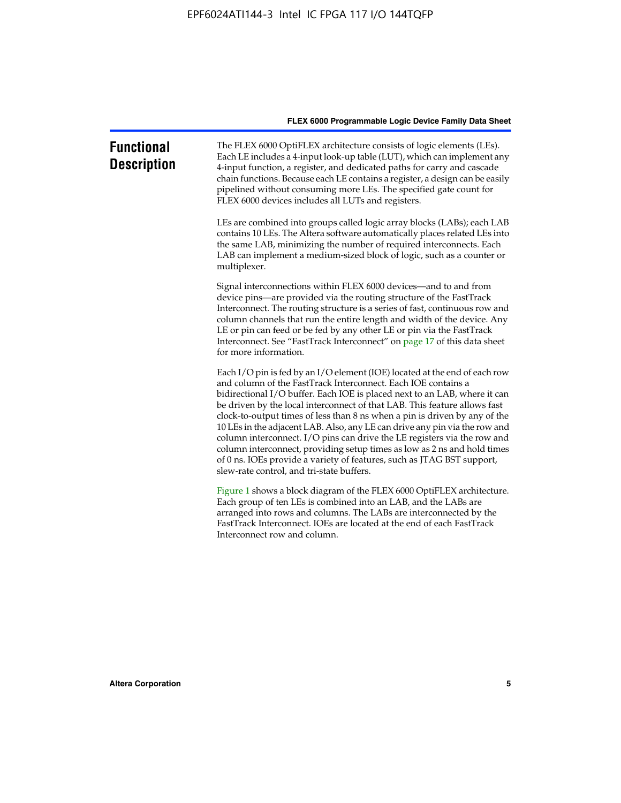| <b>Functional</b><br><b>Description</b> | The FLEX 6000 OptiFLEX architecture consists of logic elements (LEs).<br>Each LE includes a 4-input look-up table (LUT), which can implement any<br>4-input function, a register, and dedicated paths for carry and cascade<br>chain functions. Because each LE contains a register, a design can be easily<br>pipelined without consuming more LEs. The specified gate count for<br>FLEX 6000 devices includes all LUTs and registers.                                                                                                                                                                                                                                                                                                          |
|-----------------------------------------|--------------------------------------------------------------------------------------------------------------------------------------------------------------------------------------------------------------------------------------------------------------------------------------------------------------------------------------------------------------------------------------------------------------------------------------------------------------------------------------------------------------------------------------------------------------------------------------------------------------------------------------------------------------------------------------------------------------------------------------------------|
|                                         | LEs are combined into groups called logic array blocks (LABs); each LAB<br>contains 10 LEs. The Altera software automatically places related LEs into<br>the same LAB, minimizing the number of required interconnects. Each<br>LAB can implement a medium-sized block of logic, such as a counter or<br>multiplexer.                                                                                                                                                                                                                                                                                                                                                                                                                            |
|                                         | Signal interconnections within FLEX 6000 devices—and to and from<br>device pins—are provided via the routing structure of the FastTrack<br>Interconnect. The routing structure is a series of fast, continuous row and<br>column channels that run the entire length and width of the device. Any<br>LE or pin can feed or be fed by any other LE or pin via the FastTrack<br>Interconnect. See "FastTrack Interconnect" on page 17 of this data sheet<br>for more information.                                                                                                                                                                                                                                                                  |
|                                         | Each I/O pin is fed by an I/O element (IOE) located at the end of each row<br>and column of the FastTrack Interconnect. Each IOE contains a<br>bidirectional I/O buffer. Each IOE is placed next to an LAB, where it can<br>be driven by the local interconnect of that LAB. This feature allows fast<br>clock-to-output times of less than 8 ns when a pin is driven by any of the<br>10 LEs in the adjacent LAB. Also, any LE can drive any pin via the row and<br>column interconnect. I/O pins can drive the LE registers via the row and<br>column interconnect, providing setup times as low as 2 ns and hold times<br>of 0 ns. IOEs provide a variety of features, such as JTAG BST support,<br>slew-rate control, and tri-state buffers. |
|                                         | Figure 1 shows a block diagram of the FLEX 6000 OptiFLEX architecture.<br>Each group of ten LEs is combined into an LAB, and the LABs are<br>arranged into rows and columns. The LABs are interconnected by the<br>FastTrack Interconnect. IOEs are located at the end of each FastTrack<br>Interconnect row and column.                                                                                                                                                                                                                                                                                                                                                                                                                         |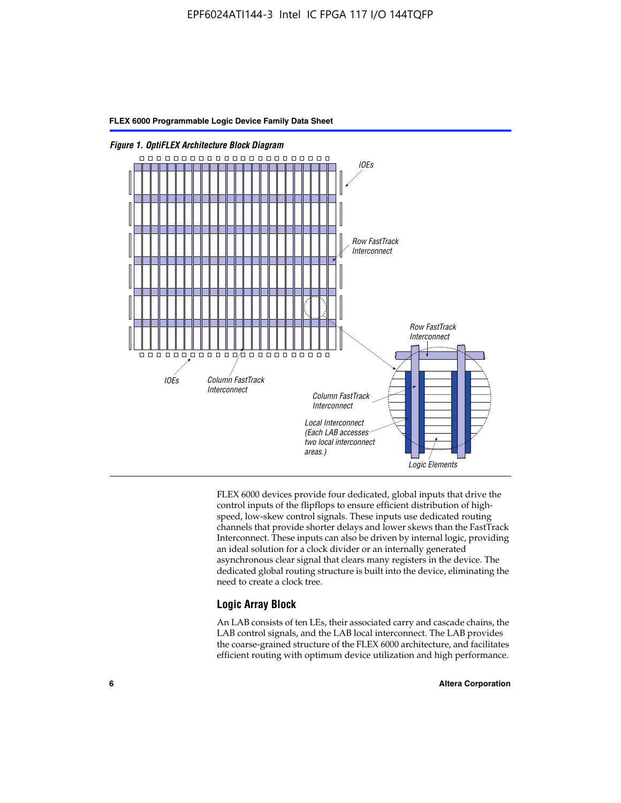

FLEX 6000 devices provide four dedicated, global inputs that drive the control inputs of the flipflops to ensure efficient distribution of highspeed, low-skew control signals. These inputs use dedicated routing channels that provide shorter delays and lower skews than the FastTrack Interconnect. These inputs can also be driven by internal logic, providing an ideal solution for a clock divider or an internally generated asynchronous clear signal that clears many registers in the device. The dedicated global routing structure is built into the device, eliminating the need to create a clock tree.

#### **Logic Array Block**

An LAB consists of ten LEs, their associated carry and cascade chains, the LAB control signals, and the LAB local interconnect. The LAB provides the coarse-grained structure of the FLEX 6000 architecture, and facilitates efficient routing with optimum device utilization and high performance.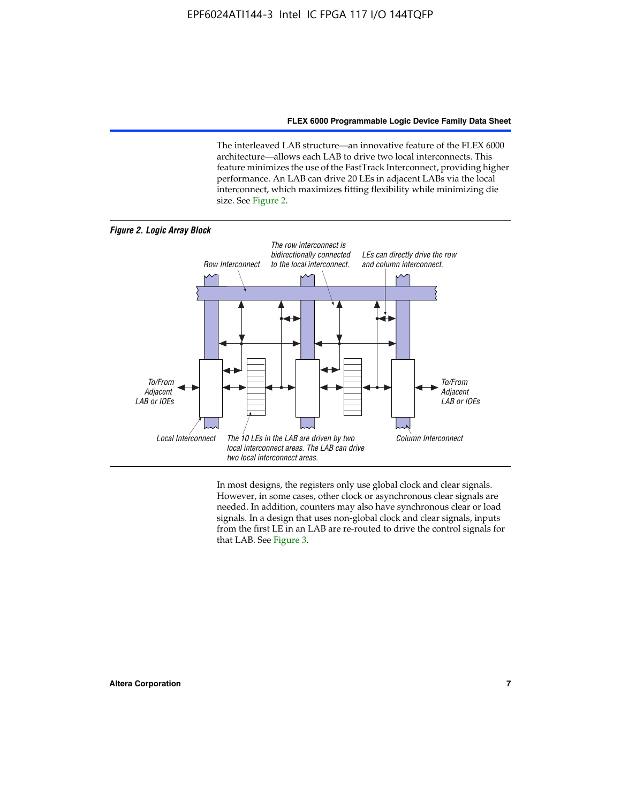The interleaved LAB structure—an innovative feature of the FLEX 6000 architecture—allows each LAB to drive two local interconnects. This feature minimizes the use of the FastTrack Interconnect, providing higher performance. An LAB can drive 20 LEs in adjacent LABs via the local interconnect, which maximizes fitting flexibility while minimizing die size. See Figure 2.



In most designs, the registers only use global clock and clear signals. However, in some cases, other clock or asynchronous clear signals are needed. In addition, counters may also have synchronous clear or load signals. In a design that uses non-global clock and clear signals, inputs from the first LE in an LAB are re-routed to drive the control signals for that LAB. See Figure 3.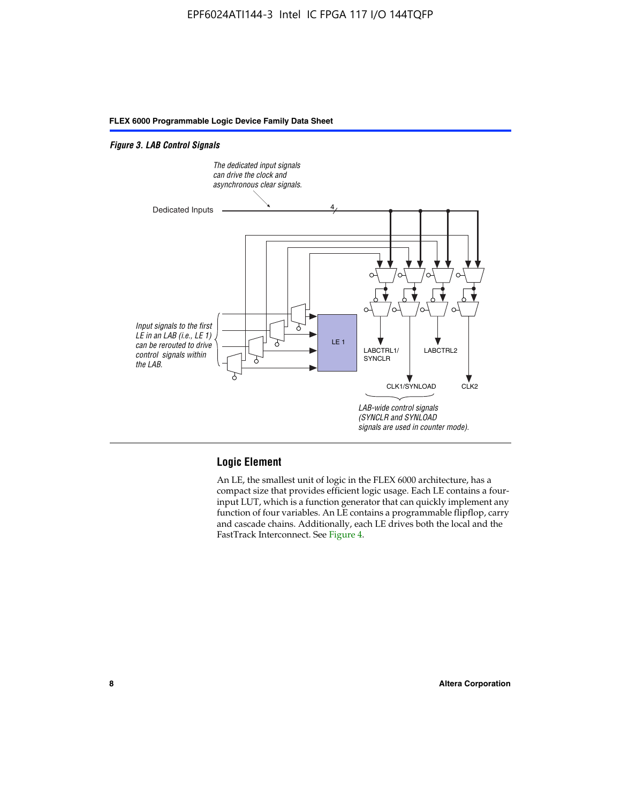#### *Figure 3. LAB Control Signals*



#### **Logic Element**

An LE, the smallest unit of logic in the FLEX 6000 architecture, has a compact size that provides efficient logic usage. Each LE contains a fourinput LUT, which is a function generator that can quickly implement any function of four variables. An LE contains a programmable flipflop, carry and cascade chains. Additionally, each LE drives both the local and the FastTrack Interconnect. See Figure 4.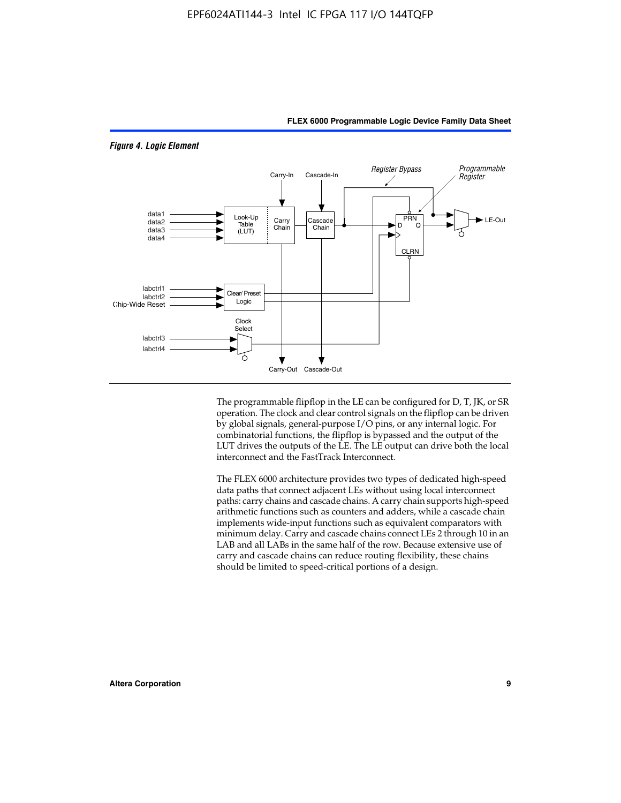

*Figure 4. Logic Element*

The programmable flipflop in the LE can be configured for D, T, JK, or SR operation. The clock and clear control signals on the flipflop can be driven by global signals, general-purpose I/O pins, or any internal logic. For combinatorial functions, the flipflop is bypassed and the output of the LUT drives the outputs of the LE. The LE output can drive both the local interconnect and the FastTrack Interconnect.

**FLEX 6000 Programmable Logic Device Family Data Sheet**

The FLEX 6000 architecture provides two types of dedicated high-speed data paths that connect adjacent LEs without using local interconnect paths: carry chains and cascade chains. A carry chain supports high-speed arithmetic functions such as counters and adders, while a cascade chain implements wide-input functions such as equivalent comparators with minimum delay. Carry and cascade chains connect LEs 2 through 10 in an LAB and all LABs in the same half of the row. Because extensive use of carry and cascade chains can reduce routing flexibility, these chains should be limited to speed-critical portions of a design.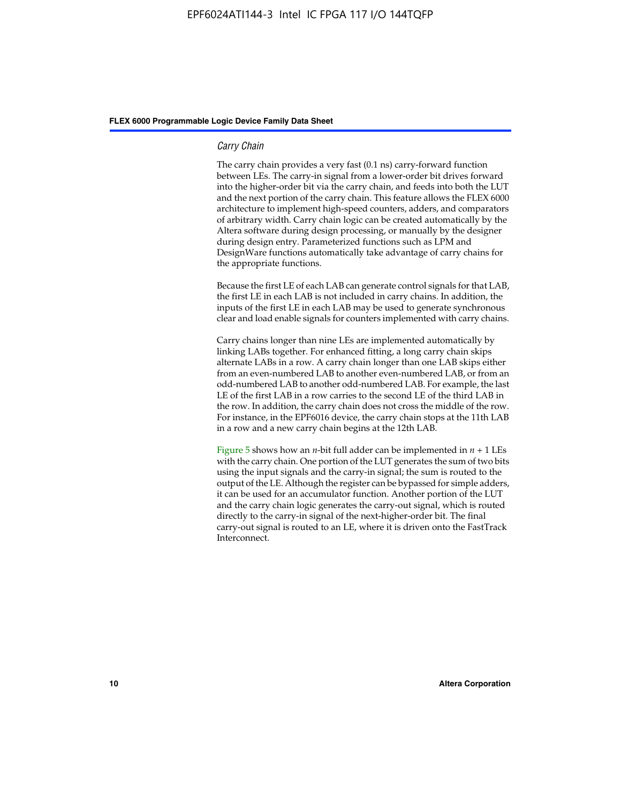#### *Carry Chain*

The carry chain provides a very fast (0.1 ns) carry-forward function between LEs. The carry-in signal from a lower-order bit drives forward into the higher-order bit via the carry chain, and feeds into both the LUT and the next portion of the carry chain. This feature allows the FLEX 6000 architecture to implement high-speed counters, adders, and comparators of arbitrary width. Carry chain logic can be created automatically by the Altera software during design processing, or manually by the designer during design entry. Parameterized functions such as LPM and DesignWare functions automatically take advantage of carry chains for the appropriate functions.

Because the first LE of each LAB can generate control signals for that LAB, the first LE in each LAB is not included in carry chains. In addition, the inputs of the first LE in each LAB may be used to generate synchronous clear and load enable signals for counters implemented with carry chains.

Carry chains longer than nine LEs are implemented automatically by linking LABs together. For enhanced fitting, a long carry chain skips alternate LABs in a row. A carry chain longer than one LAB skips either from an even-numbered LAB to another even-numbered LAB, or from an odd-numbered LAB to another odd-numbered LAB. For example, the last LE of the first LAB in a row carries to the second LE of the third LAB in the row. In addition, the carry chain does not cross the middle of the row. For instance, in the EPF6016 device, the carry chain stops at the 11th LAB in a row and a new carry chain begins at the 12th LAB.

Figure 5 shows how an *n*-bit full adder can be implemented in  $n + 1$  LEs with the carry chain. One portion of the LUT generates the sum of two bits using the input signals and the carry-in signal; the sum is routed to the output of the LE. Although the register can be bypassed for simple adders, it can be used for an accumulator function. Another portion of the LUT and the carry chain logic generates the carry-out signal, which is routed directly to the carry-in signal of the next-higher-order bit. The final carry-out signal is routed to an LE, where it is driven onto the FastTrack Interconnect.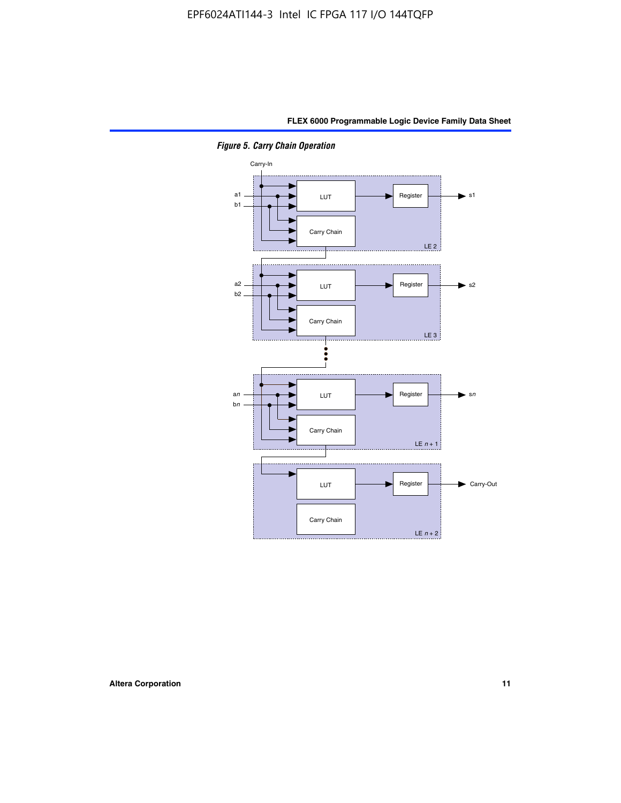

*Figure 5. Carry Chain Operation*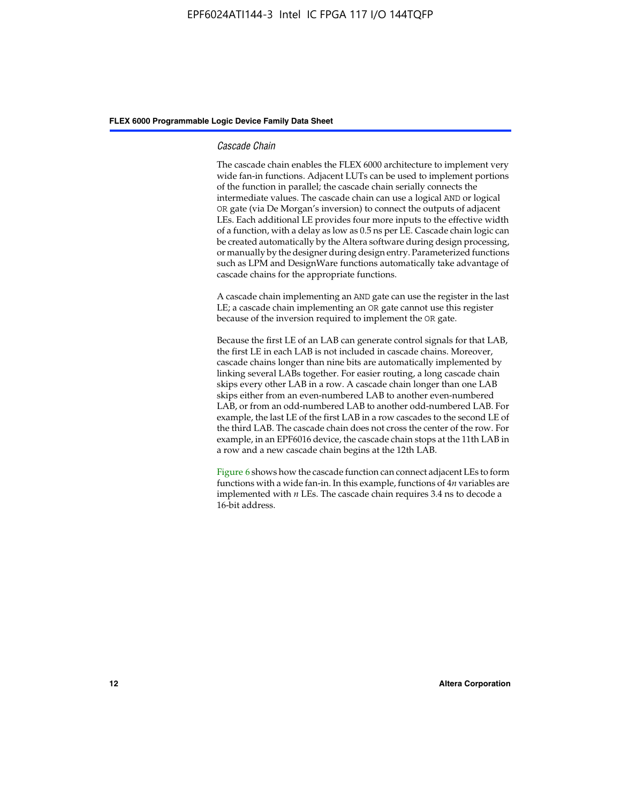#### *Cascade Chain*

The cascade chain enables the FLEX 6000 architecture to implement very wide fan-in functions. Adjacent LUTs can be used to implement portions of the function in parallel; the cascade chain serially connects the intermediate values. The cascade chain can use a logical AND or logical OR gate (via De Morgan's inversion) to connect the outputs of adjacent LEs. Each additional LE provides four more inputs to the effective width of a function, with a delay as low as 0.5 ns per LE. Cascade chain logic can be created automatically by the Altera software during design processing, or manually by the designer during design entry. Parameterized functions such as LPM and DesignWare functions automatically take advantage of cascade chains for the appropriate functions.

A cascade chain implementing an AND gate can use the register in the last LE; a cascade chain implementing an OR gate cannot use this register because of the inversion required to implement the OR gate.

Because the first LE of an LAB can generate control signals for that LAB, the first LE in each LAB is not included in cascade chains. Moreover, cascade chains longer than nine bits are automatically implemented by linking several LABs together. For easier routing, a long cascade chain skips every other LAB in a row. A cascade chain longer than one LAB skips either from an even-numbered LAB to another even-numbered LAB, or from an odd-numbered LAB to another odd-numbered LAB. For example, the last LE of the first LAB in a row cascades to the second LE of the third LAB. The cascade chain does not cross the center of the row. For example, in an EPF6016 device, the cascade chain stops at the 11th LAB in a row and a new cascade chain begins at the 12th LAB.

Figure 6 shows how the cascade function can connect adjacent LEs to form functions with a wide fan-in. In this example, functions of 4*n* variables are implemented with *n* LEs. The cascade chain requires 3.4 ns to decode a 16-bit address.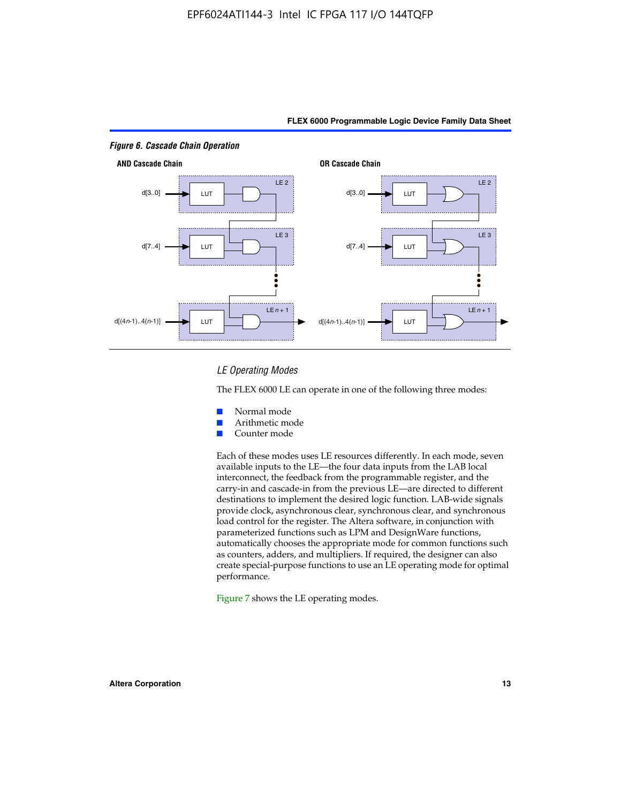

#### *LE Operating Modes*

The FLEX 6000 LE can operate in one of the following three modes:

- Normal mode
- Arithmetic mode
- Counter mode

Each of these modes uses LE resources differently. In each mode, seven available inputs to the LE—the four data inputs from the LAB local interconnect, the feedback from the programmable register, and the carry-in and cascade-in from the previous LE—are directed to different destinations to implement the desired logic function. LAB-wide signals provide clock, asynchronous clear, synchronous clear, and synchronous load control for the register. The Altera software, in conjunction with parameterized functions such as LPM and DesignWare functions, automatically chooses the appropriate mode for common functions such as counters, adders, and multipliers. If required, the designer can also create special-purpose functions to use an LE operating mode for optimal performance.

Figure 7 shows the LE operating modes.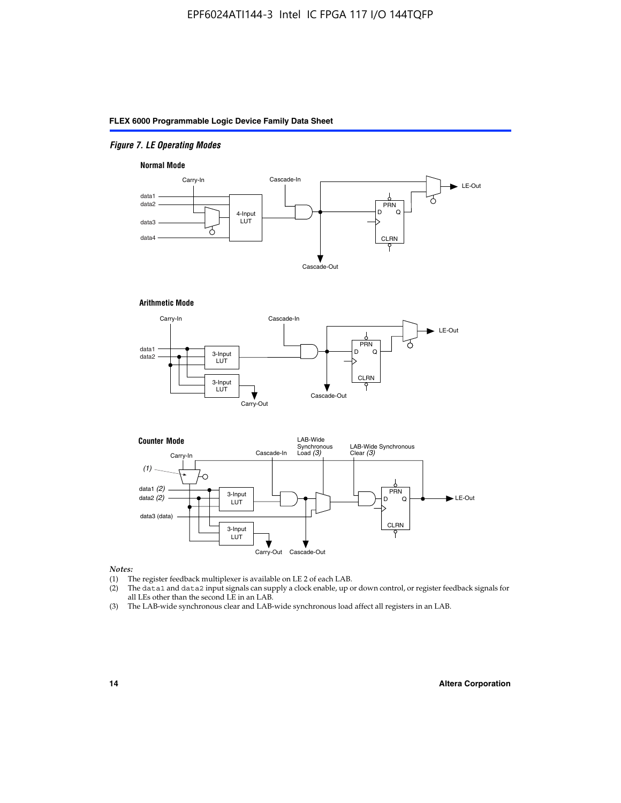#### *Figure 7. LE Operating Modes*

#### **Normal Mode**



#### **Arithmetic Mode**





#### *Notes:*

- (1) The register feedback multiplexer is available on LE 2 of each LAB.
- (2) The data1 and data2 input signals can supply a clock enable, up or down control, or register feedback signals for all LEs other than the second LE in an LAB.
- (3) The LAB-wide synchronous clear and LAB-wide synchronous load affect all registers in an LAB.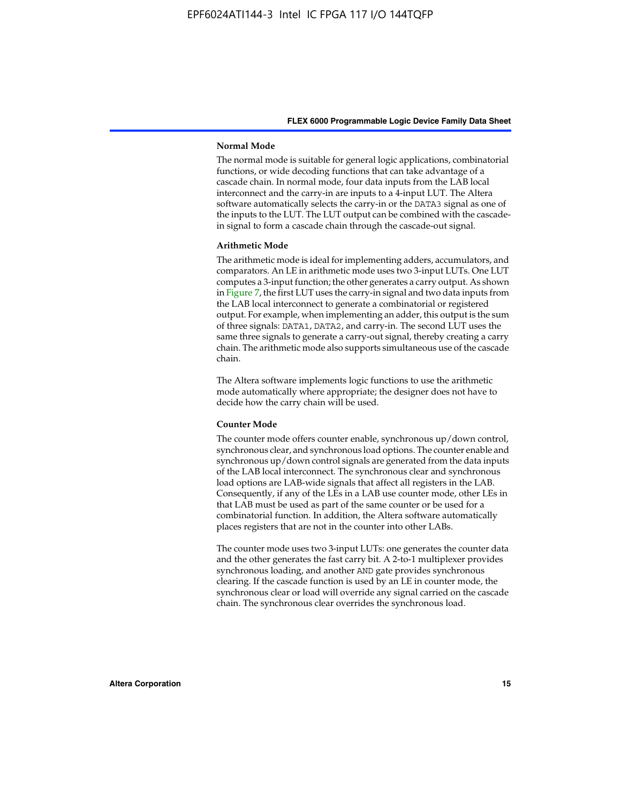#### **Normal Mode**

The normal mode is suitable for general logic applications, combinatorial functions, or wide decoding functions that can take advantage of a cascade chain. In normal mode, four data inputs from the LAB local interconnect and the carry-in are inputs to a 4-input LUT. The Altera software automatically selects the carry-in or the DATA3 signal as one of the inputs to the LUT. The LUT output can be combined with the cascadein signal to form a cascade chain through the cascade-out signal.

#### **Arithmetic Mode**

The arithmetic mode is ideal for implementing adders, accumulators, and comparators. An LE in arithmetic mode uses two 3-input LUTs. One LUT computes a 3-input function; the other generates a carry output. As shown in Figure 7, the first LUT uses the carry-in signal and two data inputs from the LAB local interconnect to generate a combinatorial or registered output. For example, when implementing an adder, this output is the sum of three signals: DATA1, DATA2, and carry-in. The second LUT uses the same three signals to generate a carry-out signal, thereby creating a carry chain. The arithmetic mode also supports simultaneous use of the cascade chain.

The Altera software implements logic functions to use the arithmetic mode automatically where appropriate; the designer does not have to decide how the carry chain will be used.

#### **Counter Mode**

The counter mode offers counter enable, synchronous up/down control, synchronous clear, and synchronous load options. The counter enable and synchronous up/down control signals are generated from the data inputs of the LAB local interconnect. The synchronous clear and synchronous load options are LAB-wide signals that affect all registers in the LAB. Consequently, if any of the LEs in a LAB use counter mode, other LEs in that LAB must be used as part of the same counter or be used for a combinatorial function. In addition, the Altera software automatically places registers that are not in the counter into other LABs.

The counter mode uses two 3-input LUTs: one generates the counter data and the other generates the fast carry bit. A 2-to-1 multiplexer provides synchronous loading, and another AND gate provides synchronous clearing. If the cascade function is used by an LE in counter mode, the synchronous clear or load will override any signal carried on the cascade chain. The synchronous clear overrides the synchronous load.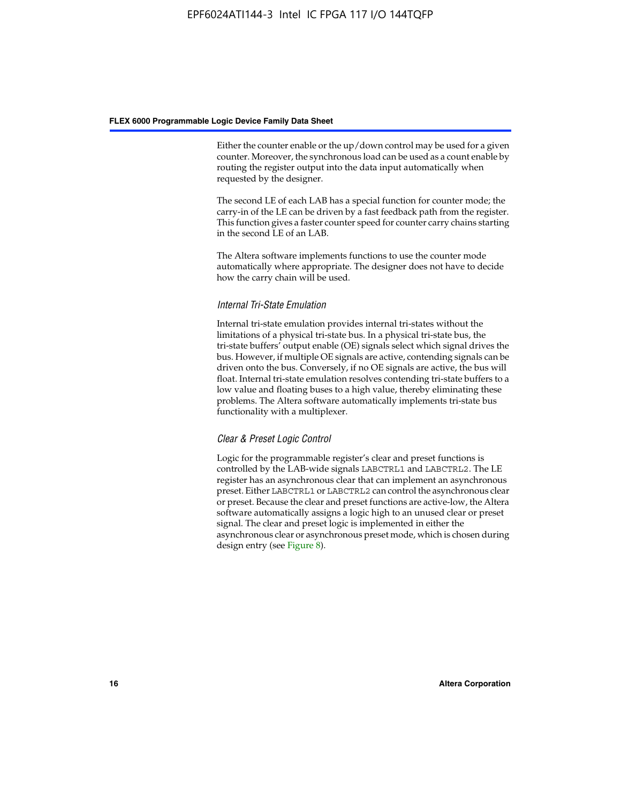Either the counter enable or the up/down control may be used for a given counter. Moreover, the synchronous load can be used as a count enable by routing the register output into the data input automatically when requested by the designer.

The second LE of each LAB has a special function for counter mode; the carry-in of the LE can be driven by a fast feedback path from the register. This function gives a faster counter speed for counter carry chains starting in the second LE of an LAB.

The Altera software implements functions to use the counter mode automatically where appropriate. The designer does not have to decide how the carry chain will be used.

#### *Internal Tri-State Emulation*

Internal tri-state emulation provides internal tri-states without the limitations of a physical tri-state bus. In a physical tri-state bus, the tri-state buffers' output enable (OE) signals select which signal drives the bus. However, if multiple OE signals are active, contending signals can be driven onto the bus. Conversely, if no OE signals are active, the bus will float. Internal tri-state emulation resolves contending tri-state buffers to a low value and floating buses to a high value, thereby eliminating these problems. The Altera software automatically implements tri-state bus functionality with a multiplexer.

#### *Clear & Preset Logic Control*

Logic for the programmable register's clear and preset functions is controlled by the LAB-wide signals LABCTRL1 and LABCTRL2. The LE register has an asynchronous clear that can implement an asynchronous preset. Either LABCTRL1 or LABCTRL2 can control the asynchronous clear or preset. Because the clear and preset functions are active-low, the Altera software automatically assigns a logic high to an unused clear or preset signal. The clear and preset logic is implemented in either the asynchronous clear or asynchronous preset mode, which is chosen during design entry (see Figure 8).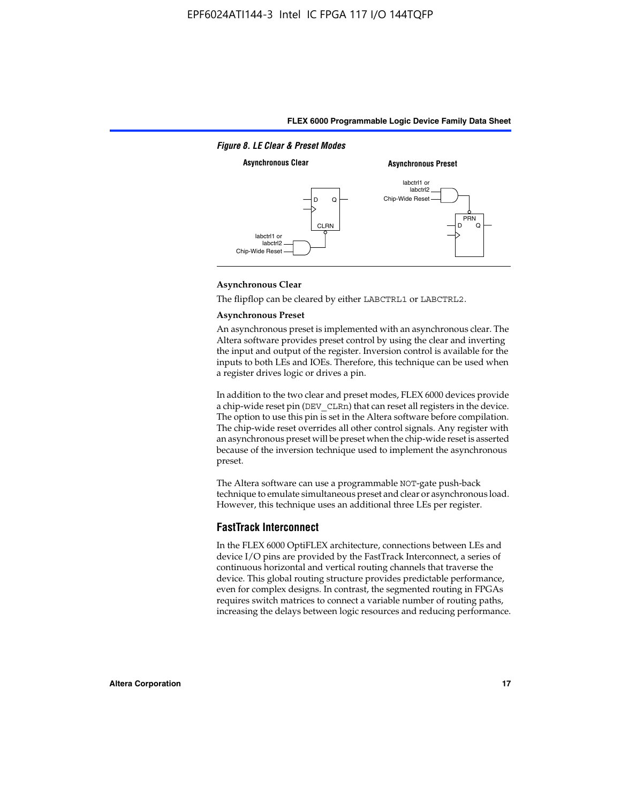

#### **Asynchronous Clear**

The flipflop can be cleared by either LABCTRL1 or LABCTRL2.

#### **Asynchronous Preset**

An asynchronous preset is implemented with an asynchronous clear. The Altera software provides preset control by using the clear and inverting the input and output of the register. Inversion control is available for the inputs to both LEs and IOEs. Therefore, this technique can be used when a register drives logic or drives a pin.

In addition to the two clear and preset modes, FLEX 6000 devices provide a chip-wide reset pin (DEV\_CLRn) that can reset all registers in the device. The option to use this pin is set in the Altera software before compilation. The chip-wide reset overrides all other control signals. Any register with an asynchronous preset will be preset when the chip-wide reset is asserted because of the inversion technique used to implement the asynchronous preset.

The Altera software can use a programmable NOT-gate push-back technique to emulate simultaneous preset and clear or asynchronous load. However, this technique uses an additional three LEs per register.

#### **FastTrack Interconnect**

In the FLEX 6000 OptiFLEX architecture, connections between LEs and device I/O pins are provided by the FastTrack Interconnect, a series of continuous horizontal and vertical routing channels that traverse the device. This global routing structure provides predictable performance, even for complex designs. In contrast, the segmented routing in FPGAs requires switch matrices to connect a variable number of routing paths, increasing the delays between logic resources and reducing performance.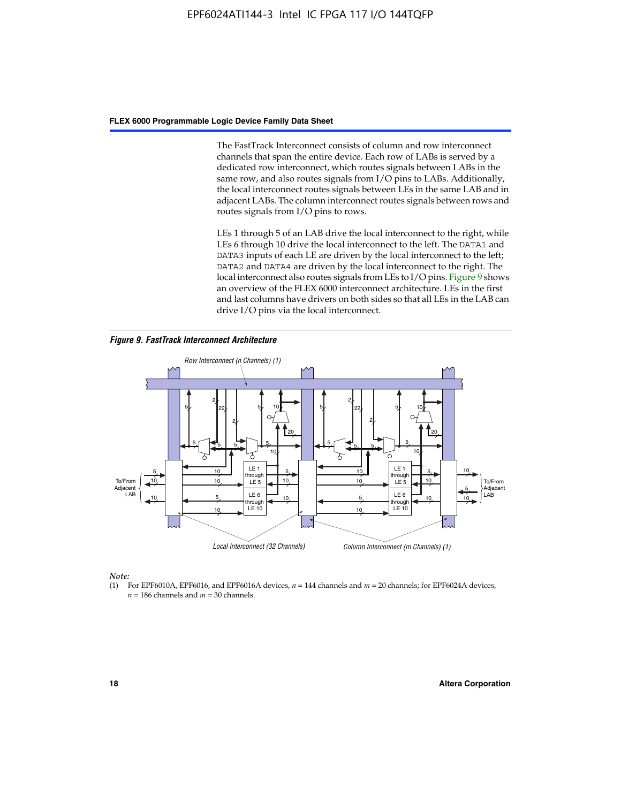The FastTrack Interconnect consists of column and row interconnect channels that span the entire device. Each row of LABs is served by a dedicated row interconnect, which routes signals between LABs in the same row, and also routes signals from I/O pins to LABs. Additionally, the local interconnect routes signals between LEs in the same LAB and in adjacent LABs. The column interconnect routes signals between rows and routes signals from I/O pins to rows.

LEs 1 through 5 of an LAB drive the local interconnect to the right, while LEs 6 through 10 drive the local interconnect to the left. The DATA1 and DATA3 inputs of each LE are driven by the local interconnect to the left; DATA2 and DATA4 are driven by the local interconnect to the right. The local interconnect also routes signals from LEs to I/O pins. Figure 9 shows an overview of the FLEX 6000 interconnect architecture. LEs in the first and last columns have drivers on both sides so that all LEs in the LAB can drive I/O pins via the local interconnect.

*Figure 9. FastTrack Interconnect Architecture*



*Note:*

(1) For EPF6010A, EPF6016, and EPF6016A devices, *n* = 144 channels and *m* = 20 channels; for EPF6024A devices,  $n = 186$  channels and  $m = 30$  channels.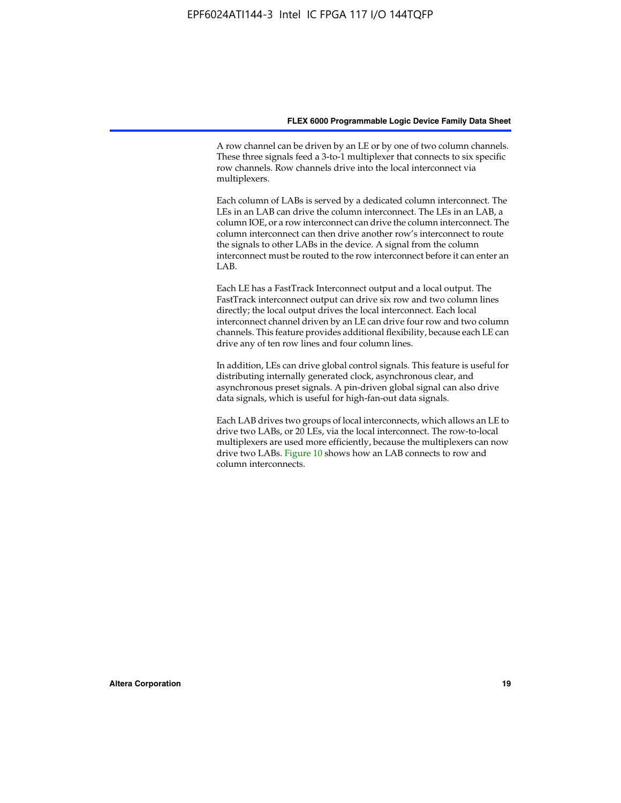A row channel can be driven by an LE or by one of two column channels. These three signals feed a 3-to-1 multiplexer that connects to six specific row channels. Row channels drive into the local interconnect via multiplexers.

Each column of LABs is served by a dedicated column interconnect. The LEs in an LAB can drive the column interconnect. The LEs in an LAB, a column IOE, or a row interconnect can drive the column interconnect. The column interconnect can then drive another row's interconnect to route the signals to other LABs in the device. A signal from the column interconnect must be routed to the row interconnect before it can enter an  $LAB$ 

Each LE has a FastTrack Interconnect output and a local output. The FastTrack interconnect output can drive six row and two column lines directly; the local output drives the local interconnect. Each local interconnect channel driven by an LE can drive four row and two column channels. This feature provides additional flexibility, because each LE can drive any of ten row lines and four column lines.

In addition, LEs can drive global control signals. This feature is useful for distributing internally generated clock, asynchronous clear, and asynchronous preset signals. A pin-driven global signal can also drive data signals, which is useful for high-fan-out data signals.

Each LAB drives two groups of local interconnects, which allows an LE to drive two LABs, or 20 LEs, via the local interconnect. The row-to-local multiplexers are used more efficiently, because the multiplexers can now drive two LABs. Figure 10 shows how an LAB connects to row and column interconnects.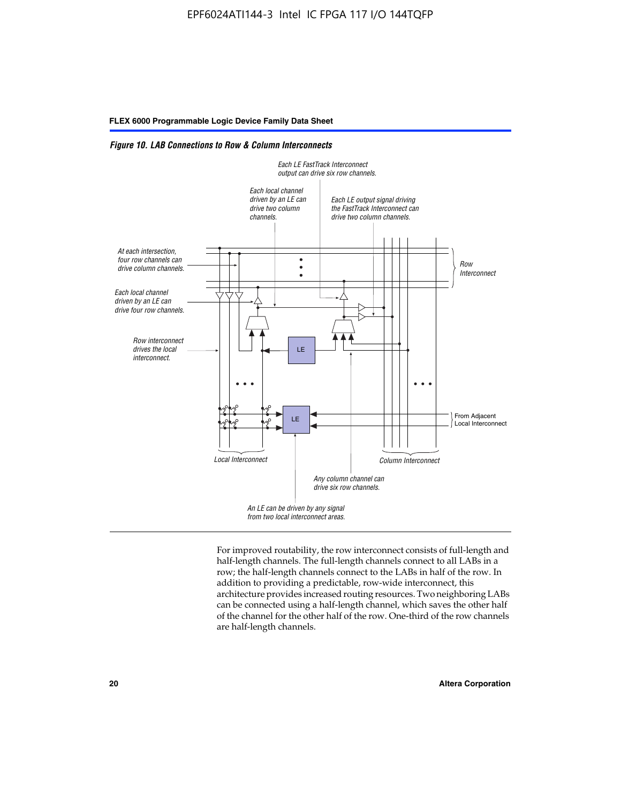*Figure 10. LAB Connections to Row & Column Interconnects*



For improved routability, the row interconnect consists of full-length and half-length channels. The full-length channels connect to all LABs in a row; the half-length channels connect to the LABs in half of the row. In addition to providing a predictable, row-wide interconnect, this architecture provides increased routing resources. Two neighboring LABs can be connected using a half-length channel, which saves the other half of the channel for the other half of the row. One-third of the row channels are half-length channels.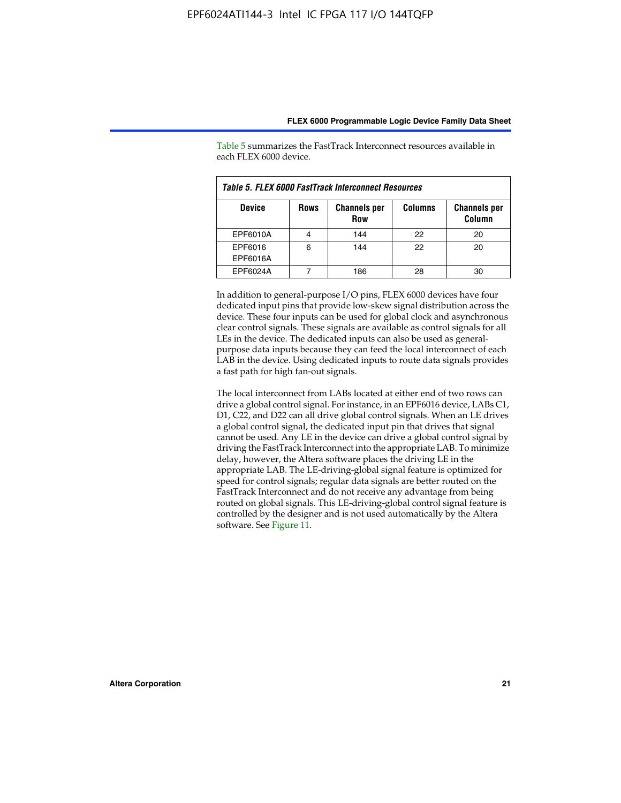| Table 5. FLEX 6000 FastTrack Interconnect Resources |             |                                   |                |                               |  |  |
|-----------------------------------------------------|-------------|-----------------------------------|----------------|-------------------------------|--|--|
| <b>Device</b>                                       | <b>Rows</b> | <b>Channels per</b><br><b>Row</b> | <b>Columns</b> | <b>Channels per</b><br>Column |  |  |
| EPF6010A                                            |             | 144                               | 22             | 20                            |  |  |
| EPF6016<br>EPF6016A                                 | 6           | 144                               | 22             | 20                            |  |  |
| EPF6024A                                            |             | 186                               | 28             | 30                            |  |  |

Table 5 summarizes the FastTrack Interconnect resources available in each FLEX 6000 device.

In addition to general-purpose I/O pins, FLEX 6000 devices have four dedicated input pins that provide low-skew signal distribution across the device. These four inputs can be used for global clock and asynchronous clear control signals. These signals are available as control signals for all LEs in the device. The dedicated inputs can also be used as generalpurpose data inputs because they can feed the local interconnect of each LAB in the device. Using dedicated inputs to route data signals provides a fast path for high fan-out signals.

The local interconnect from LABs located at either end of two rows can drive a global control signal. For instance, in an EPF6016 device, LABs C1, D1, C22, and D22 can all drive global control signals. When an LE drives a global control signal, the dedicated input pin that drives that signal cannot be used. Any LE in the device can drive a global control signal by driving the FastTrack Interconnect into the appropriate LAB. To minimize delay, however, the Altera software places the driving LE in the appropriate LAB. The LE-driving-global signal feature is optimized for speed for control signals; regular data signals are better routed on the FastTrack Interconnect and do not receive any advantage from being routed on global signals. This LE-driving-global control signal feature is controlled by the designer and is not used automatically by the Altera software. See Figure 11.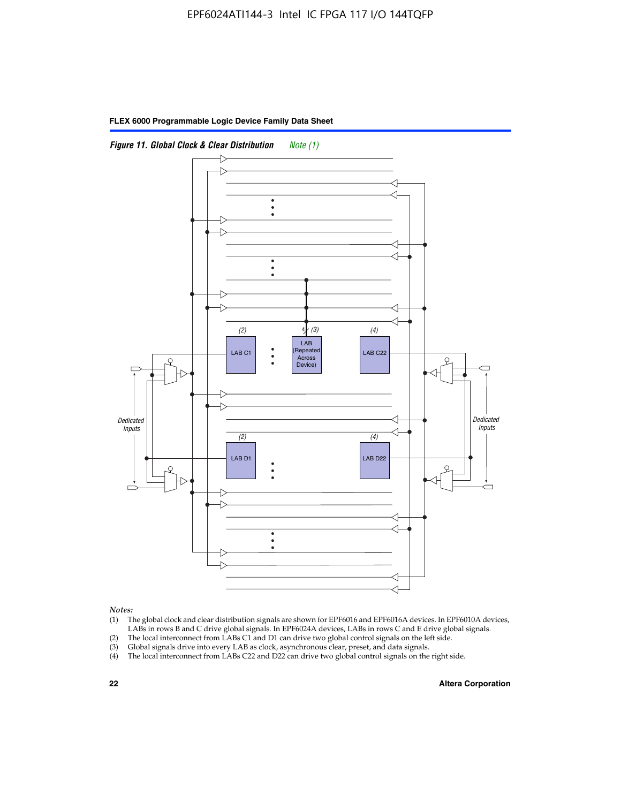

*Notes:*

- (1) The global clock and clear distribution signals are shown for EPF6016 and EPF6016A devices. In EPF6010A devices, LABs in rows B and C drive global signals. In EPF6024A devices, LABs in rows C and E drive global signals.
- (2) The local interconnect from LABs C1 and D1 can drive two global control signals on the left side.
- (3) Global signals drive into every LAB as clock, asynchronous clear, preset, and data signals.
- (4) The local interconnect from LABs C22 and D22 can drive two global control signals on the right side.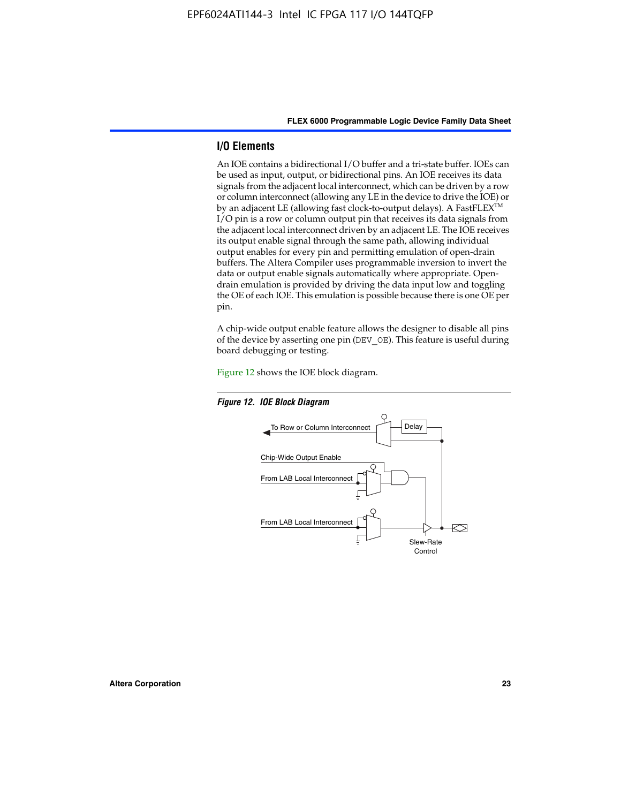#### **I/O Elements**

An IOE contains a bidirectional I/O buffer and a tri-state buffer. IOEs can be used as input, output, or bidirectional pins. An IOE receives its data signals from the adjacent local interconnect, which can be driven by a row or column interconnect (allowing any LE in the device to drive the IOE) or by an adjacent LE (allowing fast clock-to-output delays). A FastFLEX<sup>™</sup> I/O pin is a row or column output pin that receives its data signals from the adjacent local interconnect driven by an adjacent LE. The IOE receives its output enable signal through the same path, allowing individual output enables for every pin and permitting emulation of open-drain buffers. The Altera Compiler uses programmable inversion to invert the data or output enable signals automatically where appropriate. Opendrain emulation is provided by driving the data input low and toggling the OE of each IOE. This emulation is possible because there is one OE per pin.

A chip-wide output enable feature allows the designer to disable all pins of the device by asserting one pin (DEV\_OE). This feature is useful during board debugging or testing.

Figure 12 shows the IOE block diagram.



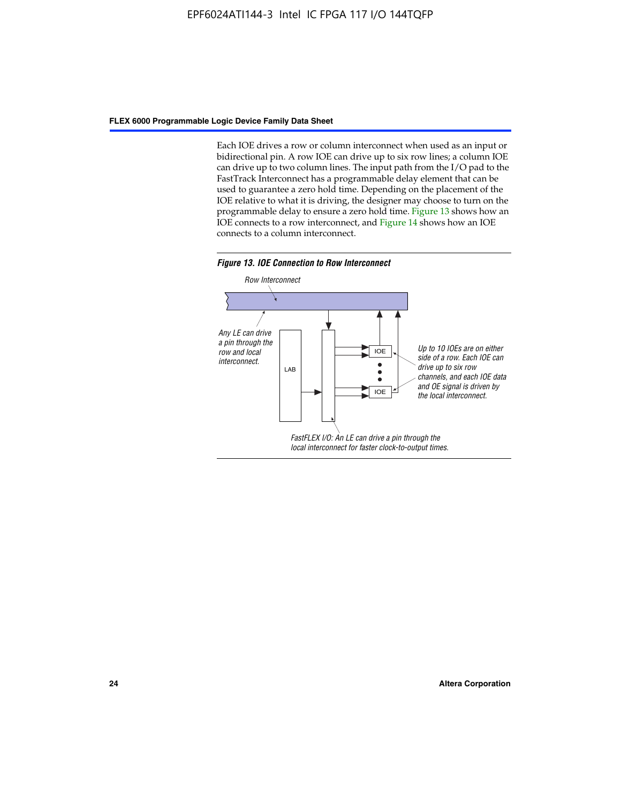Each IOE drives a row or column interconnect when used as an input or bidirectional pin. A row IOE can drive up to six row lines; a column IOE can drive up to two column lines. The input path from the I/O pad to the FastTrack Interconnect has a programmable delay element that can be used to guarantee a zero hold time. Depending on the placement of the IOE relative to what it is driving, the designer may choose to turn on the programmable delay to ensure a zero hold time. Figure 13 shows how an IOE connects to a row interconnect, and Figure 14 shows how an IOE connects to a column interconnect.



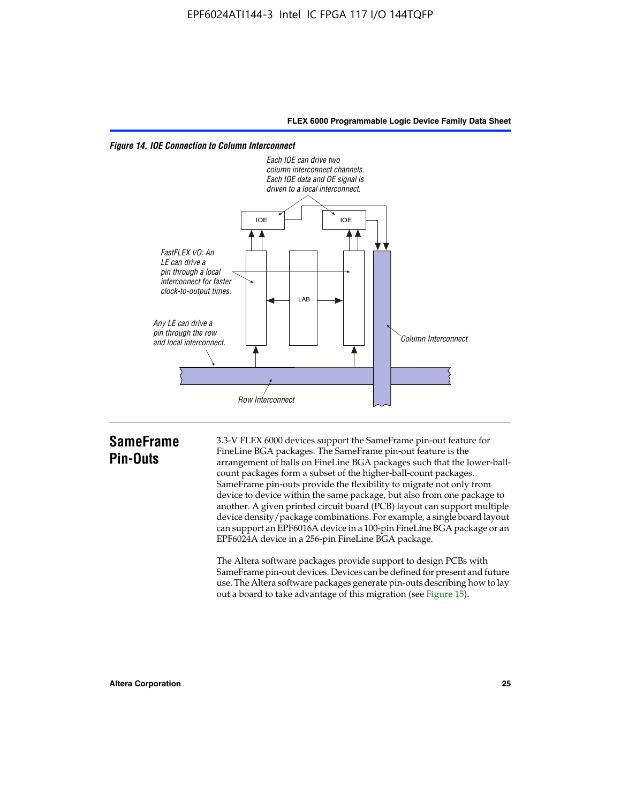

*Figure 14. IOE Connection to Column Interconnect*

## **SameFrame Pin-Outs**

3.3-V FLEX 6000 devices support the SameFrame pin-out feature for FineLine BGA packages. The SameFrame pin-out feature is the arrangement of balls on FineLine BGA packages such that the lower-ballcount packages form a subset of the higher-ball-count packages. SameFrame pin-outs provide the flexibility to migrate not only from device to device within the same package, but also from one package to another. A given printed circuit board (PCB) layout can support multiple device density/package combinations. For example, a single board layout can support an EPF6016A device in a 100-pin FineLine BGA package or an EPF6024A device in a 256-pin FineLine BGA package.

The Altera software packages provide support to design PCBs with SameFrame pin-out devices. Devices can be defined for present and future use. The Altera software packages generate pin-outs describing how to lay out a board to take advantage of this migration (see Figure 15).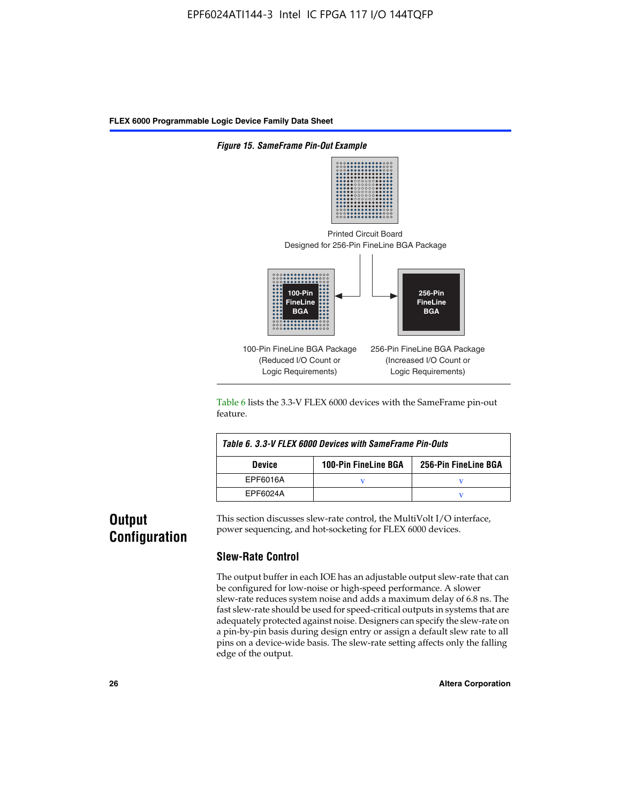

Table 6 lists the 3.3-V FLEX 6000 devices with the SameFrame pin-out feature.

| Table 6, 3.3-V FLEX 6000 Devices with SameFrame Pin-Outs |                             |                      |  |  |  |
|----------------------------------------------------------|-----------------------------|----------------------|--|--|--|
| <b>Device</b>                                            | <b>100-Pin FineLine BGA</b> | 256-Pin FineLine BGA |  |  |  |
| EPF6016A                                                 |                             |                      |  |  |  |
| EPF6024A                                                 |                             |                      |  |  |  |

## **Output Configuration**

This section discusses slew-rate control, the MultiVolt I/O interface, power sequencing, and hot-socketing for FLEX 6000 devices.

#### **Slew-Rate Control**

The output buffer in each IOE has an adjustable output slew-rate that can be configured for low-noise or high-speed performance. A slower slew-rate reduces system noise and adds a maximum delay of 6.8 ns. The fast slew-rate should be used for speed-critical outputs in systems that are adequately protected against noise. Designers can specify the slew-rate on a pin-by-pin basis during design entry or assign a default slew rate to all pins on a device-wide basis. The slew-rate setting affects only the falling edge of the output.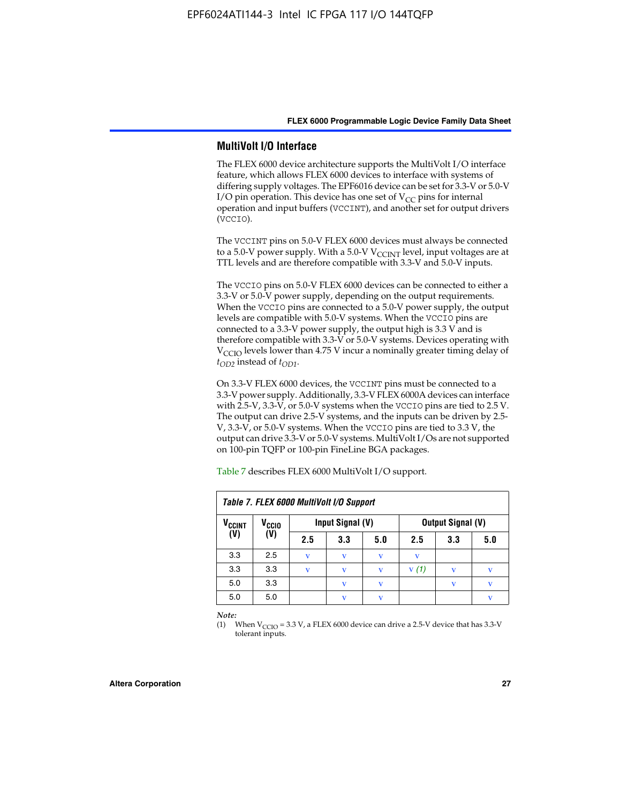#### **MultiVolt I/O Interface**

The FLEX 6000 device architecture supports the MultiVolt I/O interface feature, which allows FLEX 6000 devices to interface with systems of differing supply voltages. The EPF6016 device can be set for 3.3-V or 5.0-V I/O pin operation. This device has one set of  $V_{CC}$  pins for internal operation and input buffers (VCCINT), and another set for output drivers (VCCIO).

The VCCINT pins on 5.0-V FLEX 6000 devices must always be connected to a 5.0-V power supply. With a 5.0-V  $V_{\text{CCINT}}$  level, input voltages are at TTL levels and are therefore compatible with 3.3-V and 5.0-V inputs.

The VCCIO pins on 5.0-V FLEX 6000 devices can be connected to either a 3.3-V or 5.0-V power supply, depending on the output requirements. When the VCCIO pins are connected to a 5.0-V power supply, the output levels are compatible with 5.0-V systems. When the VCCIO pins are connected to a 3.3-V power supply, the output high is 3.3 V and is therefore compatible with 3.3-V or 5.0-V systems. Devices operating with V<sub>CCIO</sub> levels lower than 4.75 V incur a nominally greater timing delay of *tOD2* instead of *tOD1*.

On 3.3-V FLEX 6000 devices, the VCCINT pins must be connected to a 3.3-V power supply. Additionally, 3.3-V FLEX 6000A devices can interface with 2.5-V, 3.3-V, or 5.0-V systems when the VCCIO pins are tied to 2.5 V. The output can drive 2.5-V systems, and the inputs can be driven by 2.5- V, 3.3-V, or 5.0-V systems. When the VCCIO pins are tied to 3.3 V, the output can drive 3.3-V or 5.0-V systems. MultiVolt I/Os are not supported on 100-pin TQFP or 100-pin FineLine BGA packages.

| Table 7. FLEX 6000 MultiVolt I/O Support |                   |             |                  |     |                          |     |     |
|------------------------------------------|-------------------|-------------|------------------|-----|--------------------------|-----|-----|
| <b>V<sub>CCINT</sub></b>                 | V <sub>CCIO</sub> |             | Input Signal (V) |     | <b>Output Signal (V)</b> |     |     |
| (V)                                      | (V)               | 2.5         | 3.3              | 5.0 | 2.5                      | 3.3 | 5.0 |
| 3.3                                      | 2.5               | v           | v                | V   | $\mathbf v$              |     |     |
| 3.3                                      | 3.3               | $\mathbf v$ | v                | v   | V(1)                     |     | v   |
| 5.0                                      | 3.3               |             | $\mathbf{V}$     | V   |                          | v   | v   |
| 5.0                                      | 5.0               |             | $\mathbf v$      | v   |                          |     | v   |

Table 7 describes FLEX 6000 MultiVolt I/O support.

*Note:*

(1) When  $V_{\text{CCIO}} = 3.3 \text{ V}$ , a FLEX 6000 device can drive a 2.5-V device that has 3.3-V tolerant inputs.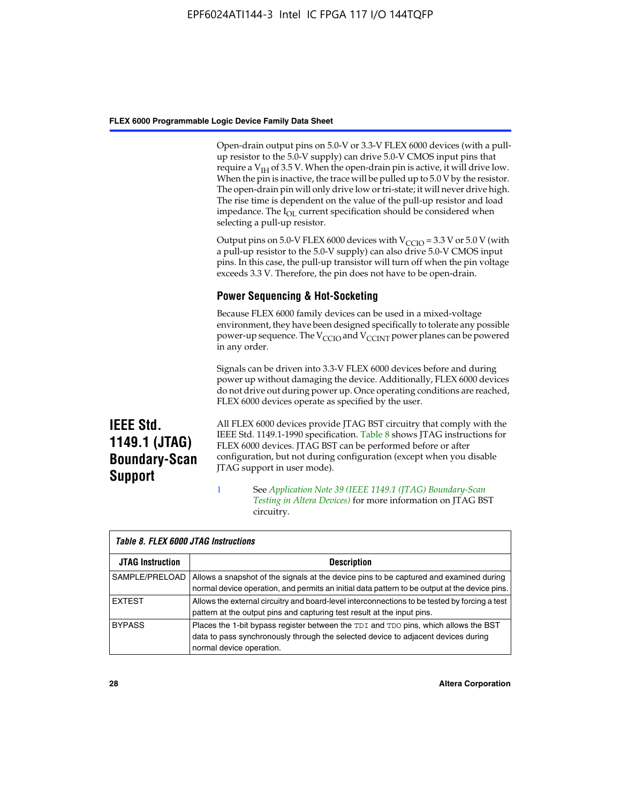Open-drain output pins on 5.0-V or 3.3-V FLEX 6000 devices (with a pullup resistor to the 5.0-V supply) can drive 5.0-V CMOS input pins that require a  $V_{IH}$  of 3.5 V. When the open-drain pin is active, it will drive low. When the pin is inactive, the trace will be pulled up to 5.0 V by the resistor. The open-drain pin will only drive low or tri-state; it will never drive high. The rise time is dependent on the value of the pull-up resistor and load impedance. The I<sub>OL</sub> current specification should be considered when selecting a pull-up resistor.

Output pins on 5.0-V FLEX 6000 devices with  $V_{\text{CCIO}} = 3.3$  V or 5.0 V (with a pull-up resistor to the 5.0-V supply) can also drive 5.0-V CMOS input pins. In this case, the pull-up transistor will turn off when the pin voltage exceeds 3.3 V. Therefore, the pin does not have to be open-drain.

### **Power Sequencing & Hot-Socketing**

Because FLEX 6000 family devices can be used in a mixed-voltage environment, they have been designed specifically to tolerate any possible power-up sequence. The  $V_{\text{CCIO}}$  and  $V_{\text{CCINT}}$  power planes can be powered in any order.

Signals can be driven into 3.3-V FLEX 6000 devices before and during power up without damaging the device. Additionally, FLEX 6000 devices do not drive out during power up. Once operating conditions are reached, FLEX 6000 devices operate as specified by the user.

**IEEE Std. 1149.1 (JTAG) Boundary-Scan Support**

All FLEX 6000 devices provide JTAG BST circuitry that comply with the IEEE Std. 1149.1-1990 specification. Table 8 shows JTAG instructions for FLEX 6000 devices. JTAG BST can be performed before or after configuration, but not during configuration (except when you disable JTAG support in user mode).

1 See *[A](http://www.altera.com/literature/an/an039.pdf)pplication Note 39 (IEEE 1149.1 (JTAG) Boundary-Scan Testing in Altera Devices)* for more information on JTAG BST circuitry.

| Table 8. FLEX 6000 JTAG Instructions |                                                                                                                                                                                                      |  |  |  |  |  |
|--------------------------------------|------------------------------------------------------------------------------------------------------------------------------------------------------------------------------------------------------|--|--|--|--|--|
| <b>JTAG Instruction</b>              | <b>Description</b>                                                                                                                                                                                   |  |  |  |  |  |
| SAMPLE/PRELOAD                       | Allows a snapshot of the signals at the device pins to be captured and examined during<br>normal device operation, and permits an initial data pattern to be output at the device pins.              |  |  |  |  |  |
| <b>EXTEST</b>                        | Allows the external circuitry and board-level interconnections to be tested by forcing a test<br>pattern at the output pins and capturing test result at the input pins.                             |  |  |  |  |  |
| <b>BYPASS</b>                        | Places the 1-bit bypass register between the TDI and TDO pins, which allows the BST<br>data to pass synchronously through the selected device to adjacent devices during<br>normal device operation. |  |  |  |  |  |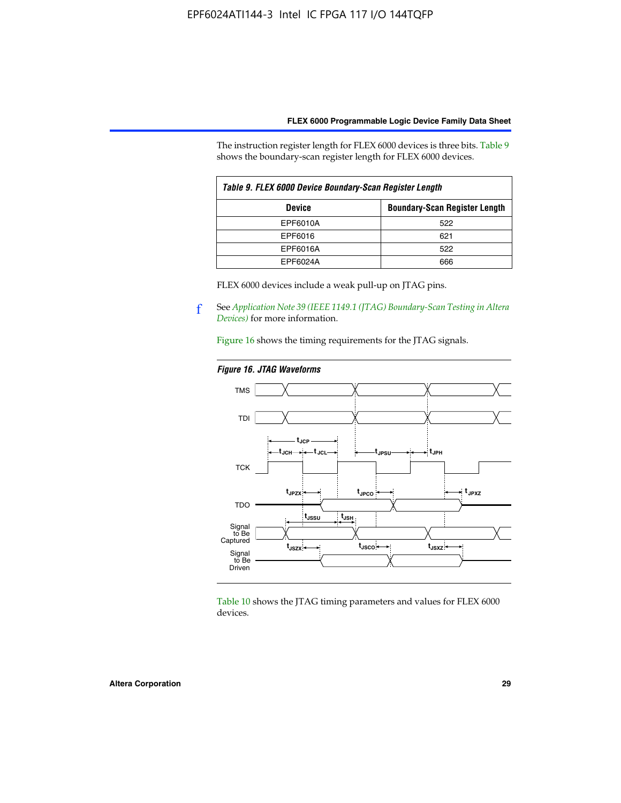The instruction register length for FLEX 6000 devices is three bits. Table 9 shows the boundary-scan register length for FLEX 6000 devices.

| Table 9. FLEX 6000 Device Boundary-Scan Register Length |                                      |  |  |  |  |
|---------------------------------------------------------|--------------------------------------|--|--|--|--|
| <b>Device</b>                                           | <b>Boundary-Scan Register Length</b> |  |  |  |  |
| EPF6010A                                                | 522                                  |  |  |  |  |
| EPF6016                                                 | 621                                  |  |  |  |  |
| EPF6016A                                                | 522                                  |  |  |  |  |
| EPF6024A                                                | 666                                  |  |  |  |  |

FLEX 6000 devices include a weak pull-up on JTAG pins.

f See *[Application Note 39 \(IEEE 1149.1 \(JTAG\) Boundary-Scan Testing in Altera](http://www.altera.com/literature/an/an039.pdf)  [Devices\)](http://www.altera.com/literature/an/an039.pdf)* for more information.

Figure 16 shows the timing requirements for the JTAG signals.

#### *Figure 16. JTAG Waveforms*



Table 10 shows the JTAG timing parameters and values for FLEX 6000 devices.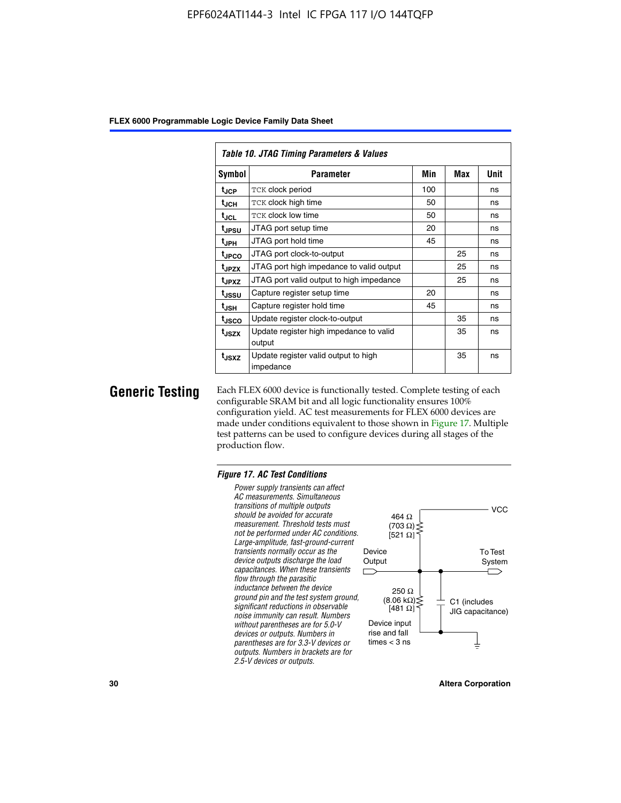| Table 10. JTAG Timing Parameters & Values |                                                   |     |     |             |  |  |  |  |
|-------------------------------------------|---------------------------------------------------|-----|-----|-------------|--|--|--|--|
| Symbol                                    | Parameter                                         | Min | Max | <b>Unit</b> |  |  |  |  |
| t <sub>JCP</sub>                          | TCK clock period                                  | 100 |     | ns          |  |  |  |  |
| t <sub>JCH</sub>                          | TCK clock high time                               | 50  |     | ns          |  |  |  |  |
| t <sub>JCL</sub>                          | <b>TCK clock low time</b>                         | 50  |     | ns          |  |  |  |  |
| t <sub>JPSU</sub>                         | JTAG port setup time                              | 20  |     | ns          |  |  |  |  |
| $t_{\rm JPH}$                             | JTAG port hold time                               | 45  |     | ns          |  |  |  |  |
| <sup>t</sup> JPCO                         | JTAG port clock-to-output                         |     | 25  | ns          |  |  |  |  |
| t <sub>JPZX</sub>                         | JTAG port high impedance to valid output          |     | 25  | ns          |  |  |  |  |
| t <sub>JPXZ</sub>                         | JTAG port valid output to high impedance          |     | 25  | ns          |  |  |  |  |
| tussu                                     | Capture register setup time                       | 20  |     | ns          |  |  |  |  |
| $t_{\sf JSH}$                             | Capture register hold time                        | 45  |     | ns          |  |  |  |  |
| tjsco                                     | Update register clock-to-output                   |     | 35  | ns          |  |  |  |  |
| t <sub>JSZX</sub>                         | Update register high impedance to valid<br>output |     | 35  | ns          |  |  |  |  |
| t <sub>JSXZ</sub>                         | Update register valid output to high<br>impedance |     | 35  | ns          |  |  |  |  |

**Generic Testing** Each FLEX 6000 device is functionally tested. Complete testing of each configurable SRAM bit and all logic functionality ensures 100% configuration yield. AC test measurements for FLEX 6000 devices are made under conditions equivalent to those shown in Figure 17. Multiple test patterns can be used to configure devices during all stages of the production flow.

#### *Figure 17. AC Test Conditions*

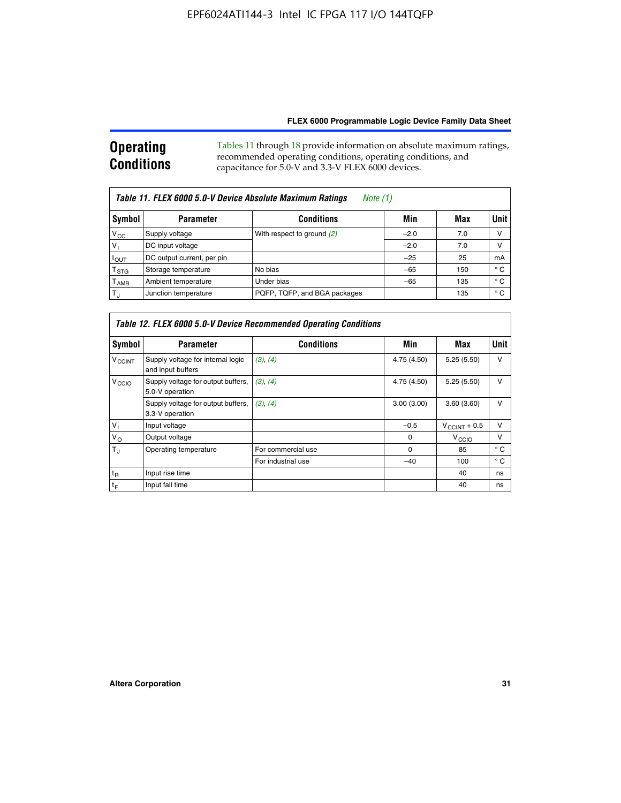#### **Operating Conditions** Tables 11 through 18 provide information on absolute maximum ratings, recommended operating conditions, operating conditions, and capacitance for 5.0-V and 3.3-V FLEX 6000 devices.

| Table 11. FLEX 6000 5.0-V Device Absolute Maximum Ratings<br>Note (1) |                            |                              |        |     |             |  |  |
|-----------------------------------------------------------------------|----------------------------|------------------------------|--------|-----|-------------|--|--|
| Symbol                                                                | <b>Parameter</b>           | <b>Conditions</b>            | Min    | Max | <b>Unit</b> |  |  |
| $V_{\rm CC}$                                                          | Supply voltage             | With respect to ground (2)   | $-2.0$ | 7.0 | V           |  |  |
| V <sub>1</sub>                                                        | DC input voltage           |                              | $-2.0$ | 7.0 | ν           |  |  |
| $I_{OUT}$                                                             | DC output current, per pin |                              | $-25$  | 25  | mA          |  |  |
| $\mathsf{T}_{\text{STG}}$                                             | Storage temperature        | No bias                      | $-65$  | 150 | ° C         |  |  |
| $\mathsf{T}_{\mathsf{AMB}}$                                           | Ambient temperature        | Under bias                   | $-65$  | 135 | ° C         |  |  |
| $T_{\rm J}$                                                           | Junction temperature       | PQFP, TQFP, and BGA packages |        | 135 | ° C         |  |  |

| Table 12. FLEX 6000 5.0-V Device Recommended Operating Conditions |                                                        |                    |             |                          |              |  |  |  |
|-------------------------------------------------------------------|--------------------------------------------------------|--------------------|-------------|--------------------------|--------------|--|--|--|
| Symbol                                                            | <b>Parameter</b>                                       | <b>Conditions</b>  | Min         | Max                      | Unit         |  |  |  |
| <b>V<sub>CCINT</sub></b>                                          | Supply voltage for internal logic<br>and input buffers | (3), (4)           | 4.75 (4.50) | 5.25(5.50)               | v            |  |  |  |
| V <sub>CCIO</sub>                                                 | Supply voltage for output buffers,<br>5.0-V operation  | (3), (4)           | 4.75 (4.50) | 5.25(5.50)               | v            |  |  |  |
|                                                                   | Supply voltage for output buffers,<br>3.3-V operation  | (3), (4)           | 3.00(3.00)  | 3.60(3.60)               | v            |  |  |  |
| $V_{1}$                                                           | Input voltage                                          |                    | $-0.5$      | $V_{\text{CCINT}} + 0.5$ | v            |  |  |  |
| $V_{\rm O}$                                                       | Output voltage                                         |                    | $\Omega$    | $V_{\text{CCIO}}$        | v            |  |  |  |
| $T_{\rm J}$                                                       | Operating temperature                                  | For commercial use | 0           | 85                       | $^{\circ}$ C |  |  |  |
|                                                                   |                                                        | For industrial use | $-40$       | 100                      | $^{\circ}$ C |  |  |  |
| $t_{R}$                                                           | Input rise time                                        |                    |             | 40                       | ns           |  |  |  |
| t <sub>F</sub>                                                    | Input fall time                                        |                    |             | 40                       | ns           |  |  |  |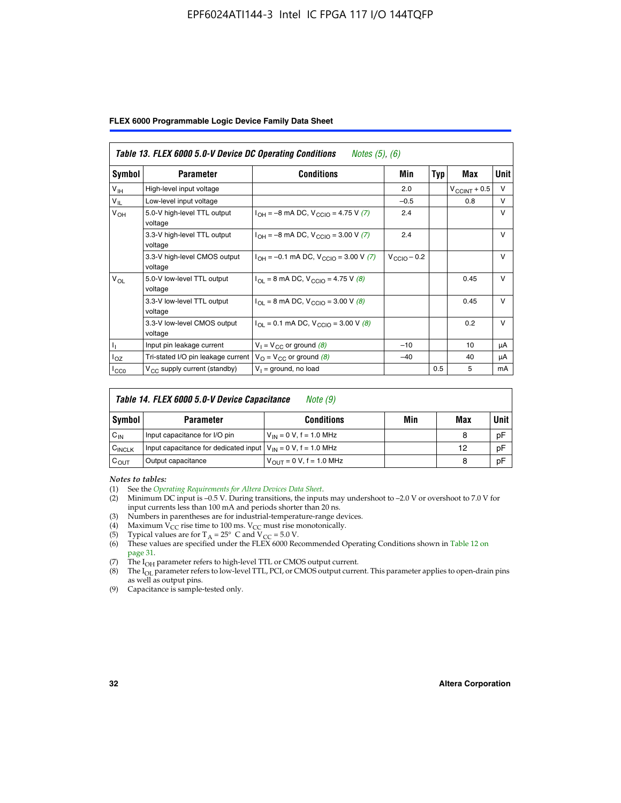#### EPF6024ATI144-3 Intel IC FPGA 117 I/O 144TQFP

|  |  |  | FLEX 6000 Programmable Logic Device Family Data Sheet |  |  |  |
|--|--|--|-------------------------------------------------------|--|--|--|
|--|--|--|-------------------------------------------------------|--|--|--|

|                 | Table 13. FLEX 6000 5.0-V Device DC Operating Conditions<br><i>Notes</i> $(5)$ , $(6)$ |                                                                           |                         |     |                       |              |  |  |  |
|-----------------|----------------------------------------------------------------------------------------|---------------------------------------------------------------------------|-------------------------|-----|-----------------------|--------------|--|--|--|
| Symbol          | <b>Parameter</b>                                                                       | Conditions                                                                | <b>Min</b>              | Typ | Max                   | Unit         |  |  |  |
| V <sub>IH</sub> | High-level input voltage                                                               |                                                                           | 2.0                     |     | $V_{\rm CCINT}$ + 0.5 | $\vee$       |  |  |  |
| $V_{IL}$        | Low-level input voltage                                                                |                                                                           | $-0.5$                  |     | 0.8                   | $\vee$       |  |  |  |
| $V_{OH}$        | 5.0-V high-level TTL output<br>voltage                                                 | $I_{OH} = -8$ mA DC, $V_{CGIO} = 4.75$ V (7)                              | 2.4                     |     |                       | $\vee$       |  |  |  |
|                 | 3.3-V high-level TTL output<br>voltage                                                 | $I_{OH} = -8$ mA DC, $V_{CClO} = 3.00$ V (7)                              | 2.4                     |     |                       | $\vee$       |  |  |  |
|                 | 3.3-V high-level CMOS output<br>voltage                                                | $I_{OH} = -0.1$ mA DC, $V_{CCIO} = 3.00$ V (7)                            | $V_{\text{CCIO}} - 0.2$ |     |                       | $\mathsf{V}$ |  |  |  |
| $V_{OL}$        | 5.0-V low-level TTL output<br>voltage                                                  | $I_{\text{OI}} = 8 \text{ mA DC}$ , $V_{\text{CCl}} = 4.75 \text{ V}$ (8) |                         |     | 0.45                  | $\vee$       |  |  |  |
|                 | 3.3-V low-level TTL output<br>voltage                                                  | $I_{\text{OI}}$ = 8 mA DC, V <sub>CCIO</sub> = 3.00 V (8)                 |                         |     | 0.45                  | $\mathsf{V}$ |  |  |  |
|                 | 3.3-V low-level CMOS output<br>voltage                                                 | $I_{\text{OI}} = 0.1 \text{ mA DC}, V_{\text{CCIO}} = 3.00 \text{ V} (8)$ |                         |     | 0.2                   | $\mathsf{V}$ |  |  |  |
|                 | Input pin leakage current                                                              | $V_1 = V_{CC}$ or ground (8)                                              | $-10$                   |     | 10                    | μA           |  |  |  |
| $I_{OZ}$        | Tri-stated I/O pin leakage current $V_{\Omega} = V_{\Omega}$ or ground (8)             |                                                                           | $-40$                   |     | 40                    | μA           |  |  |  |
| ICCO            | $V_{CC}$ supply current (standby)                                                      | $V_1$ = ground, no load                                                   |                         | 0.5 | 5                     | mA           |  |  |  |

| Table 14. FLEX 6000 5.0-V Device Capacitance<br>Note (9) |                                                                    |                               |     |     |             |  |  |
|----------------------------------------------------------|--------------------------------------------------------------------|-------------------------------|-----|-----|-------------|--|--|
| Symbol                                                   | <b>Parameter</b>                                                   | <b>Conditions</b>             | Min | Max | <b>Unit</b> |  |  |
| $C_{IN}$                                                 | Input capacitance for I/O pin                                      | $V_{1N} = 0 V$ , f = 1.0 MHz  |     | 8   | pF          |  |  |
| C <sub>INCLK</sub>                                       | Input capacitance for dedicated input $V_{IN} = 0 V$ , f = 1.0 MHz |                               |     | 12  | pF          |  |  |
| $C_{OUT}$                                                | Output capacitance                                                 | $V_{OUT} = 0 V$ , f = 1.0 MHz |     | 8   | pF          |  |  |

*Notes to tables:*

- (3) Numbers in parentheses are for industrial-temperature-range devices.
- (4) Maximum  $V_{CC}$  rise time to 100 ms.  $V_{CC}$  must rise monotonically.
- 
- (5) Typical values are for T<sub>A</sub> = 25° C and V<sub>CC</sub> = 5.0 V.<br>(6) These values are specified under the FLEX 6000 Recommended Operating Conditions shown in Table 12 on page 31.
- (7) The I<sub>OH</sub> parameter refers to high-level TTL or CMOS output current.
- (8) The I<sub>OL</sub> parameter refers to low-level TTL, PCI, or CMOS output current. This parameter applies to open-drain pins as well as output pins.
- (9) Capacitance is sample-tested only.

<sup>(1)</sup> See the *[Operating Requirements for Altera Devices Data Sheet](http://www.altera.com/literature/ds/dsoprq.pdf)*.

Minimum DC input is –0.5 V. During transitions, the inputs may undershoot to –2.0 V or overshoot to 7.0 V for input currents less than 100 mA and periods shorter than 20 ns.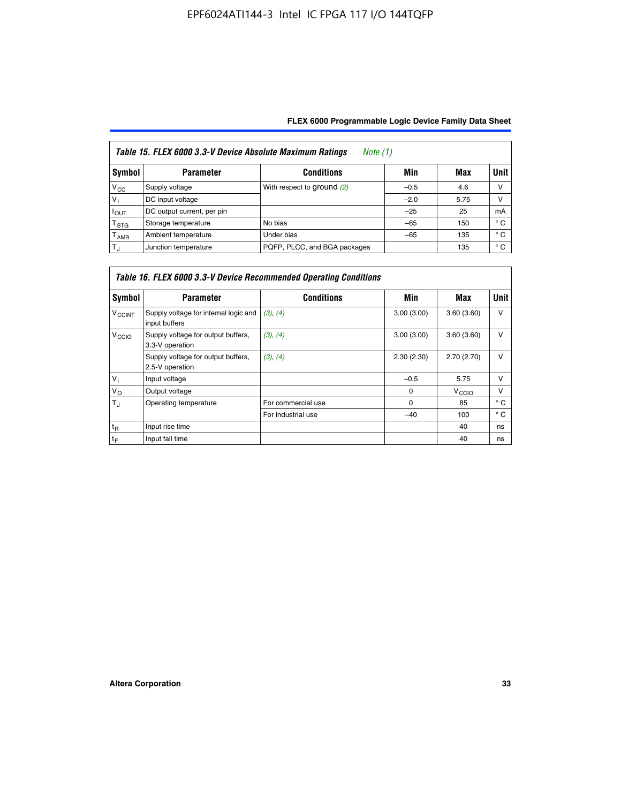| Table 15. FLEX 6000 3.3-V Device Absolute Maximum Ratings<br>Note $(1)$ |                            |                              |        |      |              |  |  |  |
|-------------------------------------------------------------------------|----------------------------|------------------------------|--------|------|--------------|--|--|--|
| Symbol                                                                  | <b>Parameter</b>           | <b>Conditions</b>            | Min    | Max  | Unit         |  |  |  |
| $V_{\rm CC}$                                                            | Supply voltage             | With respect to ground (2)   | $-0.5$ | 4.6  | ν            |  |  |  |
| $V_1$                                                                   | DC input voltage           |                              | $-2.0$ | 5.75 | ν            |  |  |  |
| $I_{\text{OUT}}$                                                        | DC output current, per pin |                              | $-25$  | 25   | mA           |  |  |  |
| T <sub>STG</sub>                                                        | Storage temperature        | No bias                      | $-65$  | 150  | $^{\circ}$ C |  |  |  |
| Т <sub>АМВ</sub>                                                        | Ambient temperature        | Under bias                   | $-65$  | 135  | $^{\circ}$ C |  |  |  |
| $T_{\rm J}$                                                             | Junction temperature       | PQFP, PLCC, and BGA packages |        | 135  | $^{\circ}$ C |  |  |  |

| Table 16. FLEX 6000 3.3-V Device Recommended Operating Conditions |                                                        |                    |            |                   |              |  |  |  |
|-------------------------------------------------------------------|--------------------------------------------------------|--------------------|------------|-------------------|--------------|--|--|--|
| Symbol                                                            | <b>Parameter</b>                                       | <b>Conditions</b>  | Min        | Max               | <b>Unit</b>  |  |  |  |
| <b>V<sub>CCINT</sub></b>                                          | Supply voltage for internal logic and<br>input buffers | (3), (4)           | 3.00(3.00) | 3.60(3.60)        | $\vee$       |  |  |  |
| V <sub>CCIO</sub>                                                 | Supply voltage for output buffers,<br>3.3-V operation  | (3), (4)           | 3.00(3.00) | 3.60(3.60)        | $\vee$       |  |  |  |
|                                                                   | Supply voltage for output buffers,<br>2.5-V operation  | (3), (4)           | 2.30(2.30) | 2.70(2.70)        | $\vee$       |  |  |  |
| $V_{\perp}$                                                       | Input voltage                                          |                    | $-0.5$     | 5.75              | $\vee$       |  |  |  |
| $V_{\rm O}$                                                       | Output voltage                                         |                    | $\Omega$   | V <sub>CCIO</sub> | $\vee$       |  |  |  |
| $T_{\rm J}$                                                       | Operating temperature                                  | For commercial use | 0          | 85                | $^{\circ}$ C |  |  |  |
|                                                                   |                                                        | For industrial use | $-40$      | 100               | $^{\circ}$ C |  |  |  |
| $t_{R}$                                                           | Input rise time                                        |                    |            | 40                | ns           |  |  |  |
| $t_F$                                                             | Input fall time                                        |                    |            | 40                | ns           |  |  |  |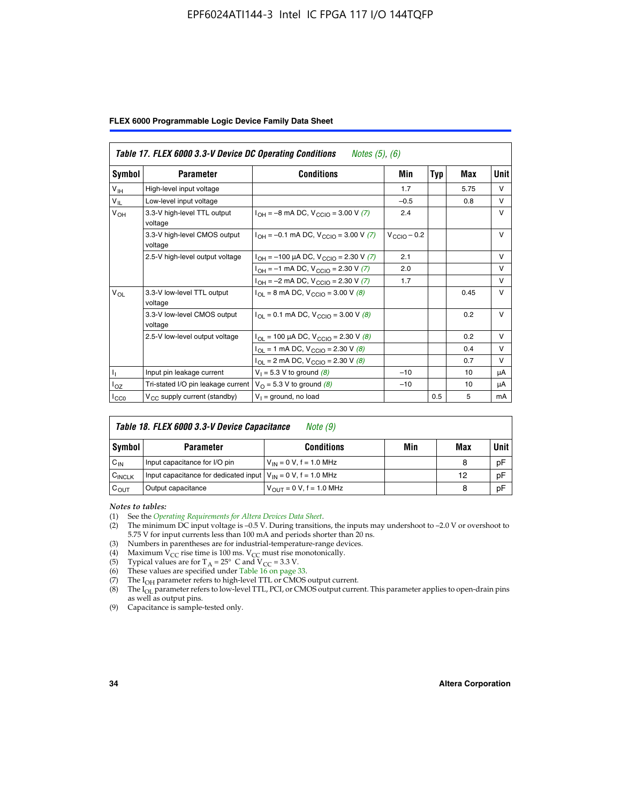#### EPF6024ATI144-3 Intel IC FPGA 117 I/O 144TQFP

|  |  |  | FLEX 6000 Programmable Logic Device Family Data Sheet |  |  |  |
|--|--|--|-------------------------------------------------------|--|--|--|
|--|--|--|-------------------------------------------------------|--|--|--|

|                  | Table 17. FLEX 6000 3.3-V Device DC Operating Conditions<br><i>Notes</i> $(5)$ , $(6)$ |                                                    |                  |            |      |             |  |  |  |
|------------------|----------------------------------------------------------------------------------------|----------------------------------------------------|------------------|------------|------|-------------|--|--|--|
| Symbol           | <b>Parameter</b>                                                                       | <b>Conditions</b>                                  | Min              | <b>Typ</b> | Max  | <b>Unit</b> |  |  |  |
| $V_{\text{IH}}$  | High-level input voltage                                                               |                                                    | 1.7              |            | 5.75 | $\vee$      |  |  |  |
| $V_{IL}$         | Low-level input voltage                                                                |                                                    | $-0.5$           |            | 0.8  | $\vee$      |  |  |  |
| $V_{OH}$         | 3.3-V high-level TTL output<br>voltage                                                 | $I_{OH} = -8$ mA DC, $V_{CClO} = 3.00$ V (7)       | 2.4              |            |      | $\vee$      |  |  |  |
|                  | 3.3-V high-level CMOS output<br>voltage                                                | $I_{OH} = -0.1$ mA DC, $V_{CClO} = 3.00$ V (7)     | $V_{CClO}$ – 0.2 |            |      | V           |  |  |  |
|                  | 2.5-V high-level output voltage                                                        | $I_{OH} = -100 \mu A DC$ , $V_{CCIO} = 2.30 V (7)$ | 2.1              |            |      | $\vee$      |  |  |  |
|                  |                                                                                        | $I_{OH} = -1$ mA DC, $V_{CCIO} = 2.30 V (7)$       | 2.0              |            |      | $\vee$      |  |  |  |
|                  |                                                                                        | $I_{OH} = -2$ mA DC, $V_{CCIO} = 2.30$ V (7)       | 1.7              |            |      | $\vee$      |  |  |  |
| $V_{OL}$         | 3.3-V low-level TTL output<br>voltage                                                  | $I_{OL}$ = 8 mA DC, V <sub>CCIO</sub> = 3.00 V (8) |                  |            | 0.45 | $\vee$      |  |  |  |
|                  | 3.3-V low-level CMOS output<br>voltage                                                 | $I_{OL} = 0.1$ mA DC, $V_{CCIO} = 3.00$ V (8)      |                  |            | 0.2  | $\vee$      |  |  |  |
|                  | 2.5-V low-level output voltage                                                         | $I_{OL}$ = 100 µA DC, $V_{CCIO}$ = 2.30 V (8)      |                  |            | 0.2  | v           |  |  |  |
|                  |                                                                                        | $I_{OL} = 1$ mA DC, $V_{CCIO} = 2.30$ V (8)        |                  |            | 0.4  | v           |  |  |  |
|                  |                                                                                        | $I_{OL}$ = 2 mA DC, V <sub>CCIO</sub> = 2.30 V (8) |                  |            | 0.7  | $\vee$      |  |  |  |
| $\mathbf{I}_{1}$ | Input pin leakage current                                                              | $V_1 = 5.3 V$ to ground (8)                        | $-10$            |            | 10   | μA          |  |  |  |
| $I_{OZ}$         | Tri-stated I/O pin leakage current                                                     | $V_{\Omega}$ = 5.3 V to ground (8)                 | $-10$            |            | 10   | μA          |  |  |  |
| $I_{CC0}$        | $V_{CC}$ supply current (standby)                                                      | $V_1$ = ground, no load                            |                  | 0.5        | 5    | mA          |  |  |  |

| Table 18. FLEX 6000 3.3-V Device Capacitance<br>Note $(9)$ |                                                                    |                                |     |     |             |  |  |  |
|------------------------------------------------------------|--------------------------------------------------------------------|--------------------------------|-----|-----|-------------|--|--|--|
| Symbol                                                     | <b>Parameter</b>                                                   | <b>Conditions</b>              | Min | Max | <b>Unit</b> |  |  |  |
| $C_{IN}$                                                   | Input capacitance for I/O pin                                      | $V_{1N} = 0 V$ , f = 1.0 MHz   |     | 8   | pF          |  |  |  |
| $C_{\text{INCLK}}$                                         | Input capacitance for dedicated input $V_{IN} = 0 V$ , f = 1.0 MHz |                                |     | 12  | pF          |  |  |  |
| $C_{OUT}$                                                  | Output capacitance                                                 | $V_{OIII} = 0 V$ , f = 1.0 MHz |     | 8   | pF          |  |  |  |

*Notes to tables:*

- (3) Numbers in parentheses are for industrial-temperature-range devices.
- (4) Maximum V<sub>CC</sub> rise time is 100 ms. V<sub>CC</sub> must rise monotonically.
- (5) Typical values are for  $T_A = 25^\circ$  C and  $V_{CC} = 3.3$  V.<br>(6) These values are specified under Table 16 on page 33.
- 
- (7) The  $I_{OH}$  parameter refers to high-level TTL or CMOS output current.
- (8) The  $I_{OL}$  parameter refers to low-level TTL, PCI, or CMOS output current. This parameter applies to open-drain pins as well as output pins.

(9) Capacitance is sample-tested only.

<sup>(1)</sup> See the *[Operating Requirements for Altera Devices Data Sheet](http://www.altera.com/literature/ds/dsoprq.pdf)*.

<sup>(2)</sup> The minimum DC input voltage is –0.5 V. During transitions, the inputs may undershoot to –2.0 V or overshoot to 5.75 V for input currents less than 100 mA and periods shorter than 20 ns.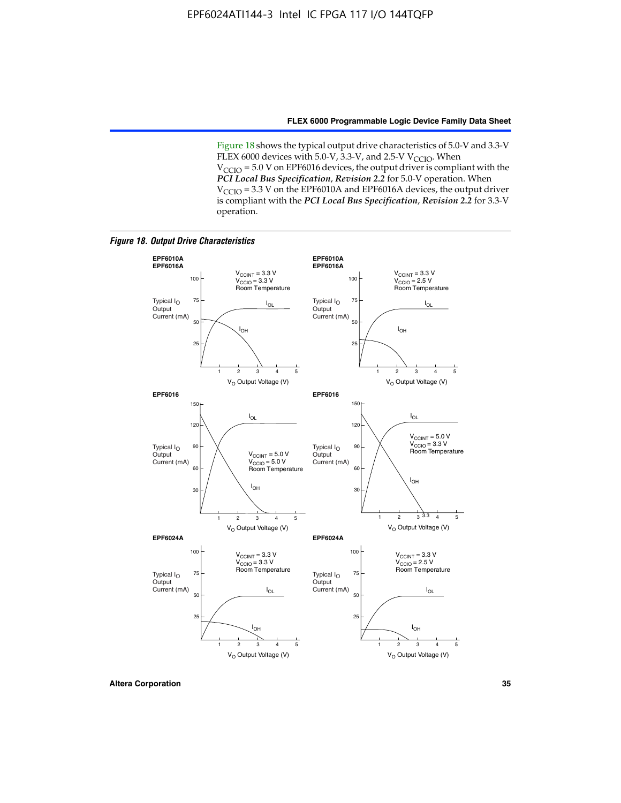Figure 18 shows the typical output drive characteristics of 5.0-V and 3.3-V FLEX 6000 devices with 5.0-V,  $3.3$ -V, and 2.5-V V<sub>CCIO</sub>. When  $V_{\text{CCIO}}$  = 5.0 V on EPF6016 devices, the output driver is compliant with the *PCI Local Bus Specification*, *Revision 2.2* for 5.0-V operation. When  $V_{\text{CCIO}} = 3.3$  V on the EPF6010A and EPF6016A devices, the output driver is compliant with the *PCI Local Bus Specification*, *Revision 2.2* for 3.3-V operation.

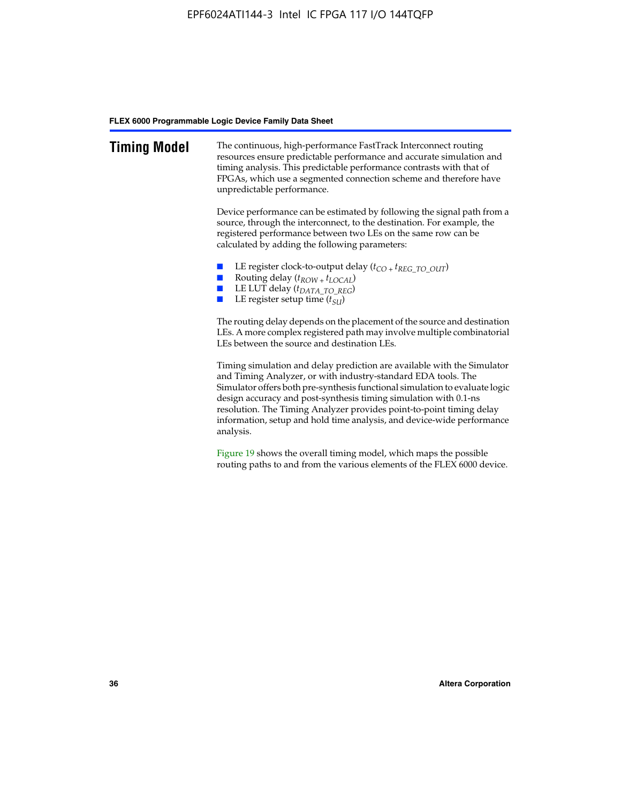| <b>Timing Model</b> | The continuous, high-performance FastTrack Interconnect routing<br>resources ensure predictable performance and accurate simulation and<br>timing analysis. This predictable performance contrasts with that of<br>FPGAs, which use a segmented connection scheme and therefore have<br>unpredictable performance.                                                                                                                                         |
|---------------------|------------------------------------------------------------------------------------------------------------------------------------------------------------------------------------------------------------------------------------------------------------------------------------------------------------------------------------------------------------------------------------------------------------------------------------------------------------|
|                     | Device performance can be estimated by following the signal path from a<br>source, through the interconnect, to the destination. For example, the<br>registered performance between two LEs on the same row can be<br>calculated by adding the following parameters:                                                                                                                                                                                       |
|                     | LE register clock-to-output delay $(t_{CO} + t_{REG\_TO\_OUT})$<br>Routing delay $(t_{ROW + } t_{LOCAL})$<br>LE LUT delay $(t_{DATA\ TO\ REG})$<br>LE register setup time $(t_{SI})$                                                                                                                                                                                                                                                                       |
|                     | The routing delay depends on the placement of the source and destination<br>LEs. A more complex registered path may involve multiple combinatorial<br>LEs between the source and destination LEs.                                                                                                                                                                                                                                                          |
|                     | Timing simulation and delay prediction are available with the Simulator<br>and Timing Analyzer, or with industry-standard EDA tools. The<br>Simulator offers both pre-synthesis functional simulation to evaluate logic<br>design accuracy and post-synthesis timing simulation with 0.1-ns<br>resolution. The Timing Analyzer provides point-to-point timing delay<br>information, setup and hold time analysis, and device-wide performance<br>analysis. |
|                     | Figure 19 shows the overall timing model, which maps the possible                                                                                                                                                                                                                                                                                                                                                                                          |

routing paths to and from the various elements of the FLEX 6000 device.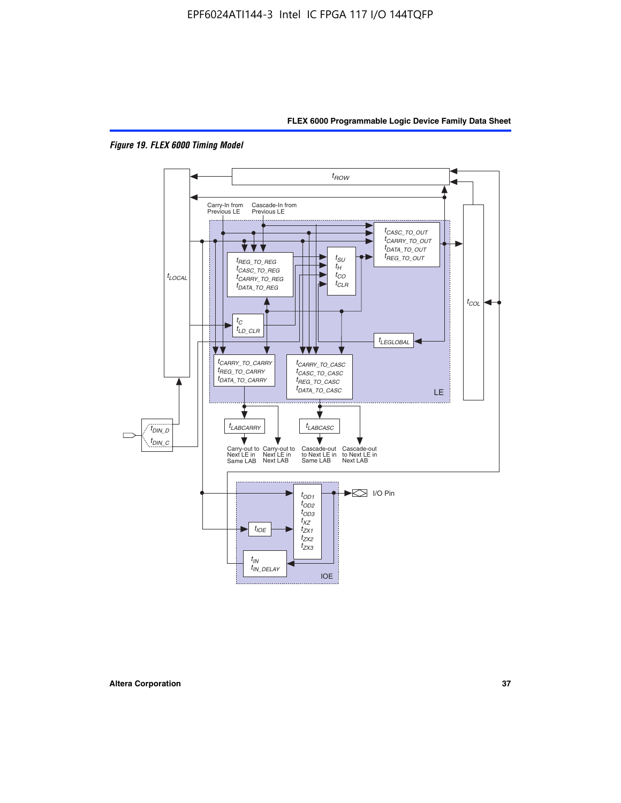



*Figure 19. FLEX 6000 Timing Model*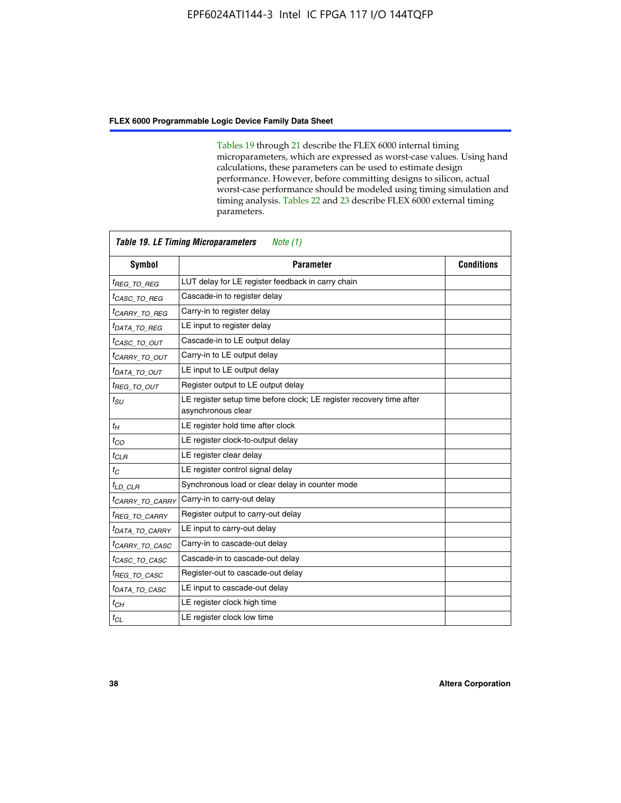Tables 19 through 21 describe the FLEX 6000 internal timing microparameters, which are expressed as worst-case values. Using hand calculations, these parameters can be used to estimate design performance. However, before committing designs to silicon, actual worst-case performance should be modeled using timing simulation and timing analysis. Tables 22 and 23 describe FLEX 6000 external timing parameters.

| <b>Table 19. LE Timing Microparameters</b><br>Note (1) |                                                                                            |                   |  |  |  |  |
|--------------------------------------------------------|--------------------------------------------------------------------------------------------|-------------------|--|--|--|--|
| <b>Symbol</b>                                          | <b>Parameter</b>                                                                           | <b>Conditions</b> |  |  |  |  |
| <sup>t</sup> REG TO REG                                | LUT delay for LE register feedback in carry chain                                          |                   |  |  |  |  |
| <sup>t</sup> CASC TO REG                               | Cascade-in to register delay                                                               |                   |  |  |  |  |
| <sup>t</sup> CARRY TO REG                              | Carry-in to register delay                                                                 |                   |  |  |  |  |
| <sup>t</sup> DATA_TO_REG                               | LE input to register delay                                                                 |                   |  |  |  |  |
| <sup>t</sup> CASC_TO_OUT                               | Cascade-in to LE output delay                                                              |                   |  |  |  |  |
| <sup>t</sup> CARRY TO OUT                              | Carry-in to LE output delay                                                                |                   |  |  |  |  |
| <sup>t</sup> data to out                               | LE input to LE output delay                                                                |                   |  |  |  |  |
| <sup>t</sup> REG_TO_OUT                                | Register output to LE output delay                                                         |                   |  |  |  |  |
| $t_{SU}$                                               | LE register setup time before clock; LE register recovery time after<br>asynchronous clear |                   |  |  |  |  |
| $t_H$                                                  | LE register hold time after clock                                                          |                   |  |  |  |  |
| $t_{CO}$                                               | LE register clock-to-output delay                                                          |                   |  |  |  |  |
| $t_{CLR}$                                              | LE register clear delay                                                                    |                   |  |  |  |  |
| $t_C$                                                  | LE register control signal delay                                                           |                   |  |  |  |  |
| $t_{LD\_CLR}$                                          | Synchronous load or clear delay in counter mode                                            |                   |  |  |  |  |
| <sup>t</sup> CARRY TO CARRY                            | Carry-in to carry-out delay                                                                |                   |  |  |  |  |
| <sup>t</sup> REG TO CARRY                              | Register output to carry-out delay                                                         |                   |  |  |  |  |
| <sup>t</sup> DATA_TO_CARRY                             | LE input to carry-out delay                                                                |                   |  |  |  |  |
| <sup>t</sup> CARRY_TO_CASC                             | Carry-in to cascade-out delay                                                              |                   |  |  |  |  |
| <sup>t</sup> CASC TO CASC                              | Cascade-in to cascade-out delay                                                            |                   |  |  |  |  |
| <sup>t</sup> REG TO CASC                               | Register-out to cascade-out delay                                                          |                   |  |  |  |  |
| <sup>t</sup> DATA TO CASC                              | LE input to cascade-out delay                                                              |                   |  |  |  |  |
| $t_{CH}$                                               | LE register clock high time                                                                |                   |  |  |  |  |
| $t_{CL}$                                               | LE register clock low time                                                                 |                   |  |  |  |  |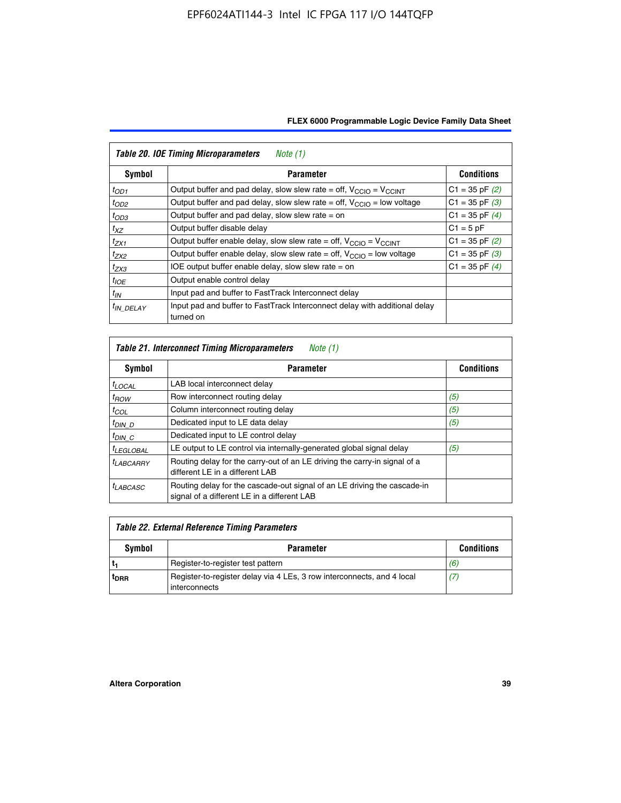| FLEX 6000 Programmable Logic Device Family Data Sheet |  |  |  |
|-------------------------------------------------------|--|--|--|
|                                                       |  |  |  |

| <b>Table 20. IOE Timing Microparameters</b><br>Note (1) |                                                                                         |                    |  |  |  |  |  |
|---------------------------------------------------------|-----------------------------------------------------------------------------------------|--------------------|--|--|--|--|--|
| Symbol                                                  | <b>Parameter</b>                                                                        | <b>Conditions</b>  |  |  |  |  |  |
| $t_{OD1}$                                               | Output buffer and pad delay, slow slew rate = off, $V_{\text{CCIO}} = V_{\text{CCINT}}$ | $C1 = 35$ pF $(2)$ |  |  |  |  |  |
| $t_{OD2}$                                               | Output buffer and pad delay, slow slew rate = off, $V_{\text{CCIO}}$ = low voltage      | $C1 = 35$ pF $(3)$ |  |  |  |  |  |
| $t_{OD3}$                                               | Output buffer and pad delay, slow slew rate $=$ on                                      | $C1 = 35$ pF $(4)$ |  |  |  |  |  |
| $t_{XZ}$                                                | Output buffer disable delay                                                             | $C1 = 5pF$         |  |  |  |  |  |
| $t_{ZX1}$                                               | Output buffer enable delay, slow slew rate = off, $V_{\text{CCIO}} = V_{\text{CCINT}}$  | $C1 = 35$ pF $(2)$ |  |  |  |  |  |
| $t_{ZX2}$                                               | Output buffer enable delay, slow slew rate = off, $V_{\text{CCIO}}$ = low voltage       | $C1 = 35$ pF $(3)$ |  |  |  |  |  |
| $t_{ZX3}$                                               | IOE output buffer enable delay, slow slew rate $=$ on                                   | $C1 = 35$ pF $(4)$ |  |  |  |  |  |
| $t_{IOE}$                                               | Output enable control delay                                                             |                    |  |  |  |  |  |
| $t_{IN}$                                                | Input pad and buffer to FastTrack Interconnect delay                                    |                    |  |  |  |  |  |
| <sup>t</sup> IN DELAY                                   | Input pad and buffer to FastTrack Interconnect delay with additional delay<br>turned on |                    |  |  |  |  |  |

| <b>Table 21. Interconnect Timing Microparameters</b><br>Note (1) |                                                                                                                         |                   |  |  |  |  |
|------------------------------------------------------------------|-------------------------------------------------------------------------------------------------------------------------|-------------------|--|--|--|--|
| Symbol                                                           | <b>Parameter</b>                                                                                                        | <b>Conditions</b> |  |  |  |  |
| $t_{LOCAL}$                                                      | LAB local interconnect delay                                                                                            |                   |  |  |  |  |
| $t_{ROW}$                                                        | Row interconnect routing delay                                                                                          | (5)               |  |  |  |  |
| $t_{COL}$                                                        | Column interconnect routing delay                                                                                       | (5)               |  |  |  |  |
| <sup>t</sup> DIN D                                               | Dedicated input to LE data delay                                                                                        | (5)               |  |  |  |  |
| $t_{DIN}$ $C$                                                    | Dedicated input to LE control delay                                                                                     |                   |  |  |  |  |
| <sup>t</sup> LEGLOBAL                                            | LE output to LE control via internally-generated global signal delay                                                    | (5)               |  |  |  |  |
| $t_{LABCAARY}$                                                   | Routing delay for the carry-out of an LE driving the carry-in signal of a<br>different LE in a different LAB            |                   |  |  |  |  |
| <sup>t</sup> LABCASC                                             | Routing delay for the cascade-out signal of an LE driving the cascade-in<br>signal of a different LE in a different LAB |                   |  |  |  |  |

| Table 22. External Reference Timing Parameters |                                                                                         |                   |  |  |  |  |
|------------------------------------------------|-----------------------------------------------------------------------------------------|-------------------|--|--|--|--|
| Symbol                                         | <b>Parameter</b>                                                                        | <b>Conditions</b> |  |  |  |  |
|                                                | Register-to-register test pattern                                                       | (6)               |  |  |  |  |
| t <sub>DRR</sub>                               | Register-to-register delay via 4 LEs, 3 row interconnects, and 4 local<br>interconnects | (7)               |  |  |  |  |

 $\mathbf{r}$ 

 $\overline{\phantom{0}}$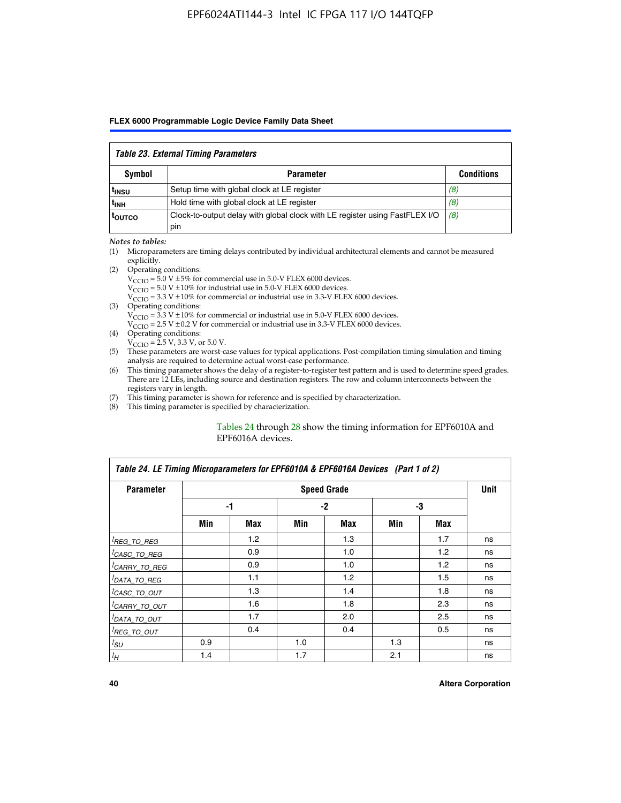### *Table 23. External Timing Parameters*

|                   | Table Lo. External Thinly I alamotors                                              |                   |
|-------------------|------------------------------------------------------------------------------------|-------------------|
| <b>Symbol</b>     | <b>Parameter</b>                                                                   | <b>Conditions</b> |
| <sup>l</sup> insu | Setup time with global clock at LE register                                        | (8)               |
| ւ <sub>INH</sub>  | Hold time with global clock at LE register                                         | (8)               |
| toutco            | Clock-to-output delay with global clock with LE register using FastFLEX I/O<br>pin | (8)               |

#### *Notes to tables:*

- (1) Microparameters are timing delays contributed by individual architectural elements and cannot be measured explicitly.
- (2) Operating conditions:  $V_{\text{CCIO}} = 5.0 \text{ V} \pm 5\%$  for commercial use in 5.0-V FLEX 6000 devices.  $V_{\text{CCIO}} = 5.0 \text{ V} \pm 10\%$  for industrial use in 5.0-V FLEX 6000 devices.  $V<sub>CCO</sub> = 3.3 V ± 10%$  for commercial or industrial use in 3.3-V FLEX 6000 devices. (3) Operating conditions:
	- $V_{\text{CCIO}} = 3.3 \text{ V} \pm 10\%$  for commercial or industrial use in 5.0-V FLEX 6000 devices.
		- $V_{\text{CCIO}}$  = 2.5 V ± 0.2 V for commercial or industrial use in 3.3-V FLEX 6000 devices.
- (4) Operating conditions:  $V_{\text{CCIO}} = 2.5 \text{ V}$ , 3.3 V, or 5.0 V.
- (5) These parameters are worst-case values for typical applications. Post-compilation timing simulation and timing analysis are required to determine actual worst-case performance.
- (6) This timing parameter shows the delay of a register-to-register test pattern and is used to determine speed grades. There are 12 LEs, including source and destination registers. The row and column interconnects between the registers vary in length.
- (7) This timing parameter is shown for reference and is specified by characterization.
- (8) This timing parameter is specified by characterization.

#### Tables 24 through 28 show the timing information for EPF6010A and EPF6016A devices.

| Table 24. LE Timing Microparameters for EPF6010A & EPF6016A Devices (Part 1 of 2) |     |                  |     |                    |     |     |             |  |
|-----------------------------------------------------------------------------------|-----|------------------|-----|--------------------|-----|-----|-------------|--|
| <b>Parameter</b>                                                                  |     |                  |     | <b>Speed Grade</b> |     |     | <b>Unit</b> |  |
|                                                                                   |     | -1               |     | -2                 |     | -3  |             |  |
|                                                                                   | Min | Max              | Min | Max                | Min | Max |             |  |
| <sup>[</sup> REG_TO_REG                                                           |     | 1.2 <sub>2</sub> |     | 1.3                |     | 1.7 | ns          |  |
| <sup>I</sup> CASC_TO_REG                                                          |     | 0.9              |     | 1.0                |     | 1.2 | ns          |  |
| <sup>I</sup> CARRY_TO_REG                                                         |     | 0.9              |     | 1.0                |     | 1.2 | ns          |  |
| <sup>I</sup> DATA_TO_REG                                                          |     | 1.1              |     | 1.2                |     | 1.5 | ns          |  |
| <sup>I</sup> CASC_TO_OUT                                                          |     | 1.3              |     | 1.4                |     | 1.8 | ns          |  |
| <sup>I</sup> CARRY_TO_OUT                                                         |     | 1.6              |     | 1.8                |     | 2.3 | ns          |  |
| <sup>I</sup> DATA_TO_OUT                                                          |     | 1.7              |     | 2.0                |     | 2.5 | ns          |  |
| <sup>I</sup> REG_TO_OUT                                                           |     | 0.4              |     | 0.4                |     | 0.5 | ns          |  |
| $t_{SU}$                                                                          | 0.9 |                  | 1.0 |                    | 1.3 |     | ns          |  |
| $t_H$                                                                             | 1.4 |                  | 1.7 |                    | 2.1 |     | ns          |  |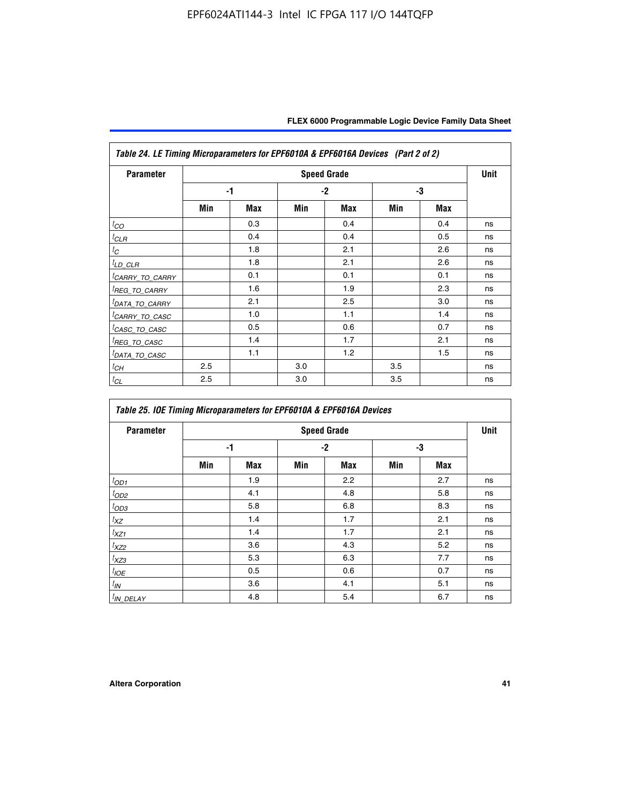| <b>Parameter</b>            |     |            |     | <b>Speed Grade</b> |     |     | <b>Unit</b> |
|-----------------------------|-----|------------|-----|--------------------|-----|-----|-------------|
|                             |     | -1         |     | $-2$               |     | -3  |             |
|                             | Min | <b>Max</b> | Min | <b>Max</b>         | Min | Max |             |
| $t_{CO}$                    |     | 0.3        |     | 0.4                |     | 0.4 | ns          |
| ${}^{l}$ CLR                |     | 0.4        |     | 0.4                |     | 0.5 | ns          |
| $t_C$                       |     | 1.8        |     | 2.1                |     | 2.6 | ns          |
| <sup>I</sup> LD_CLR         |     | 1.8        |     | 2.1                |     | 2.6 | ns          |
| <sup>I</sup> CARRY_TO_CARRY |     | 0.1        |     | 0.1                |     | 0.1 | ns          |
| <sup>I</sup> REG_TO_CARRY   |     | 1.6        |     | 1.9                |     | 2.3 | ns          |
| <sup>I</sup> DATA_TO_CARRY  |     | 2.1        |     | 2.5                |     | 3.0 | ns          |
| <sup>I</sup> CARRY_TO_CASC  |     | 1.0        |     | 1.1                |     | 1.4 | ns          |
| <sup>I</sup> CASC_TO_CASC   |     | 0.5        |     | 0.6                |     | 0.7 | ns          |
| <sup>I</sup> REG_TO_CASC    |     | 1.4        |     | 1.7                |     | 2.1 | ns          |
| <sup>I</sup> DATA_TO_CASC   |     | 1.1        |     | 1.2                |     | 1.5 | ns          |
| ${}^{l}$ СН                 | 2.5 |            | 3.0 |                    | 3.5 |     | ns          |
| ${}^tC_L$                   | 2.5 |            | 3.0 |                    | 3.5 |     | ns          |

| Table 25. IOE Timing Microparameters for EPF6010A & EPF6016A Devices |     |            |      |                    |     |            |      |  |
|----------------------------------------------------------------------|-----|------------|------|--------------------|-----|------------|------|--|
| <b>Parameter</b>                                                     |     |            |      | <b>Speed Grade</b> |     |            | Unit |  |
|                                                                      |     | -1         | $-2$ |                    | -3  |            |      |  |
|                                                                      | Min | <b>Max</b> | Min  | <b>Max</b>         | Min | <b>Max</b> |      |  |
| $t_{OD1}$                                                            |     | 1.9        |      | 2.2                |     | 2.7        | ns   |  |
| ${}^{t}$ OD2                                                         |     | 4.1        |      | 4.8                |     | 5.8        | ns   |  |
| $t_{OD3}$                                                            |     | 5.8        |      | 6.8                |     | 8.3        | ns   |  |
| $t_{XZ}$                                                             |     | 1.4        |      | 1.7                |     | 2.1        | ns   |  |
| $t_{XZ1}$                                                            |     | 1.4        |      | 1.7                |     | 2.1        | ns   |  |
| $t_{XZ2}$                                                            |     | 3.6        |      | 4.3                |     | 5.2        | ns   |  |
| $t_{XZ3}$                                                            |     | 5.3        |      | 6.3                |     | 7.7        | ns   |  |
| $t_{IOE}$                                                            |     | 0.5        |      | 0.6                |     | 0.7        | ns   |  |
| $t_{IN}$                                                             |     | 3.6        |      | 4.1                |     | 5.1        | ns   |  |
| $t_{IN\_DELAY}$                                                      |     | 4.8        |      | 5.4                |     | 6.7        | ns   |  |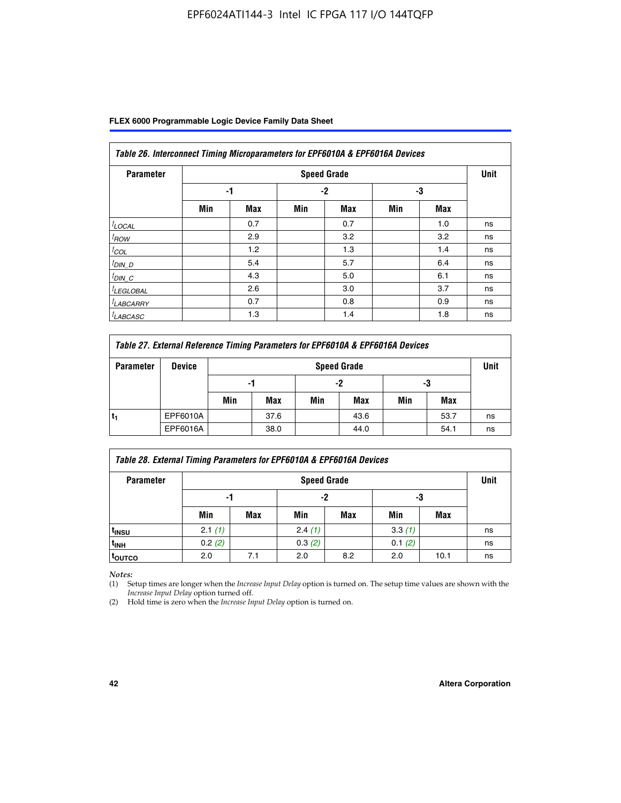| Table 26. Interconnect Timing Microparameters for EPF6010A & EPF6016A Devices |     |            |      |                    |     |     |             |  |
|-------------------------------------------------------------------------------|-----|------------|------|--------------------|-----|-----|-------------|--|
| <b>Parameter</b>                                                              |     |            |      | <b>Speed Grade</b> |     |     | <b>Unit</b> |  |
|                                                                               |     | -1         | $-2$ |                    | -3  |     |             |  |
|                                                                               | Min | <b>Max</b> | Min  | <b>Max</b>         | Min | Max |             |  |
| $t$ LOCAL                                                                     |     | 0.7        |      | 0.7                |     | 1.0 | ns          |  |
| $t_{\text{ROW}}$                                                              |     | 2.9        |      | 3.2                |     | 3.2 | ns          |  |
| $t_{COL}$                                                                     |     | 1.2        |      | 1.3                |     | 1.4 | ns          |  |
| <u><sup>t</sup>DIN_D</u>                                                      |     | 5.4        |      | 5.7                |     | 6.4 | ns          |  |
| $t_{DIN\_C}$                                                                  |     | 4.3        |      | 5.0                |     | 6.1 | ns          |  |
| <sup>I</sup> LEGLOBAL                                                         |     | 2.6        |      | 3.0                |     | 3.7 | ns          |  |
| <sup>I</sup> LABCARRY                                                         |     | 0.7        |      | 0.8                |     | 0.9 | ns          |  |
| <sup>I</sup> LABCASC                                                          |     | 1.3        |      | 1.4                |     | 1.8 | ns          |  |

| Table 27. External Reference Timing Parameters for EPF6010A & EPF6016A Devices |               |     |                    |     |      |     |      |    |  |  |
|--------------------------------------------------------------------------------|---------------|-----|--------------------|-----|------|-----|------|----|--|--|
| <b>Parameter</b>                                                               | <b>Device</b> |     | <b>Speed Grade</b> |     |      |     |      |    |  |  |
|                                                                                |               | -1  |                    | -2  |      | -3  |      |    |  |  |
|                                                                                |               | Min | Max                | Min | Max  | Min | Max  |    |  |  |
|                                                                                | EPF6010A      |     | 37.6               |     | 43.6 |     | 53.7 | ns |  |  |
|                                                                                | EPF6016A      |     | 38.0               |     | 44.0 |     | 54.1 | ns |  |  |

| Table 28. External Timing Parameters for EPF6010A & EPF6016A Devices |        |                    |        |     |        |      |    |  |  |  |
|----------------------------------------------------------------------|--------|--------------------|--------|-----|--------|------|----|--|--|--|
| <b>Parameter</b>                                                     |        | <b>Speed Grade</b> |        |     |        |      |    |  |  |  |
|                                                                      |        | -1                 |        | -2  |        | -3   |    |  |  |  |
|                                                                      | Min    | <b>Max</b>         | Min    | Max | Min    | Max  |    |  |  |  |
| t <sub>insu</sub>                                                    | 2.1(1) |                    | 2.4(1) |     | 3.3(1) |      | ns |  |  |  |
| <sup>t</sup> inh                                                     | 0.2(2) |                    | 0.3(2) |     | 0.1(2) |      | ns |  |  |  |
| toutco                                                               | 2.0    | 7.1                | 2.0    | 8.2 | 2.0    | 10.1 | ns |  |  |  |

*Notes:*

(1) Setup times are longer when the *Increase Input Delay* option is turned on. The setup time values are shown with the *Increase Input Delay* option turned off.

(2) Hold time is zero when the *Increase Input Delay* option is turned on.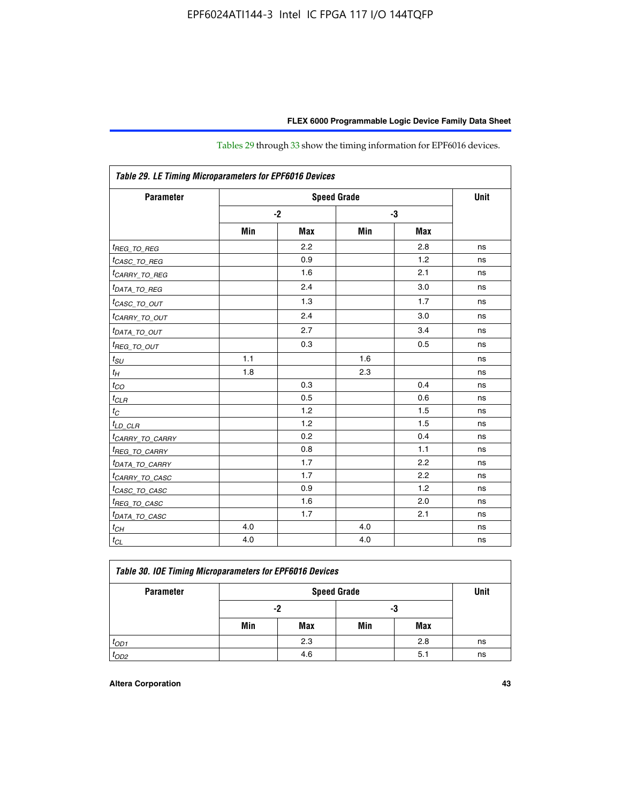| Table 29. LE Timing Microparameters for EPF6016 Devices |      |            |     |            |    |  |  |  |
|---------------------------------------------------------|------|------------|-----|------------|----|--|--|--|
| <b>Parameter</b>                                        |      | Unit       |     |            |    |  |  |  |
|                                                         | $-2$ |            |     | -3         |    |  |  |  |
|                                                         | Min  | <b>Max</b> | Min | <b>Max</b> |    |  |  |  |
| <sup>t</sup> REG_ <u>TO_REG</u>                         |      | 2.2        |     | 2.8        | ns |  |  |  |
| <sup>t</sup> CASC_TO_REG                                |      | 0.9        |     | 1.2        | ns |  |  |  |
| <sup>I</sup> CARRY_TO_REG                               |      | 1.6        |     | 2.1        | ns |  |  |  |
| <sup>t</sup> DATA_TO_REG                                |      | 2.4        |     | 3.0        | ns |  |  |  |
| <sup>t</sup> CASC_TO_OUT                                |      | 1.3        |     | 1.7        | ns |  |  |  |
| <sup>t</sup> CARRY_TO_OUT                               |      | 2.4        |     | 3.0        | ns |  |  |  |
| <sup>t</sup> DATA_TO_OUT                                |      | 2.7        |     | 3.4        | ns |  |  |  |
| <i>t<sub>REG_TO_OUT</sub></i>                           |      | 0.3        |     | 0.5        | ns |  |  |  |
| $t_{SU}$                                                | 1.1  |            | 1.6 |            | ns |  |  |  |
| $t_H$                                                   | 1.8  |            | 2.3 |            | ns |  |  |  |
| $t_{CO}$                                                |      | 0.3        |     | 0.4        | ns |  |  |  |
| $t_{CLR}$                                               |      | 0.5        |     | 0.6        | ns |  |  |  |
| $t_C$                                                   |      | 1.2        |     | 1.5        | ns |  |  |  |
| $t_{LD\_CLR}$                                           |      | 1.2        |     | 1.5        | ns |  |  |  |
| <sup>t</sup> CARRY_TO_CARRY                             |      | 0.2        |     | 0.4        | ns |  |  |  |
| <sup>t</sup> REG_TO_CARRY                               |      | 0.8        |     | 1.1        | ns |  |  |  |
| <sup>t</sup> DATA_TO_CARRY                              |      | 1.7        |     | 2.2        | ns |  |  |  |
| <sup>t</sup> CARRY_TO_CASC                              |      | 1.7        |     | 2.2        | ns |  |  |  |
| <sup>t</sup> CASC_TO_CASC                               |      | 0.9        |     | 1.2        | ns |  |  |  |
| <sup>t</sup> REG_TO_CASC                                |      | 1.6        |     | 2.0        | ns |  |  |  |
| <sup>t</sup> DATA_TO_CASC                               |      | 1.7        |     | 2.1        | ns |  |  |  |
| $t_{CH}$                                                | 4.0  |            | 4.0 |            | ns |  |  |  |
| $t_{CL}$                                                | 4.0  |            | 4.0 |            | ns |  |  |  |

Tables 29 through 33 show the timing information for EPF6016 devices.

| Table 30. IOE Timing Microparameters for EPF6016 Devices |     |             |     |     |    |  |  |  |  |  |
|----------------------------------------------------------|-----|-------------|-----|-----|----|--|--|--|--|--|
| <b>Parameter</b>                                         |     | <b>Unit</b> |     |     |    |  |  |  |  |  |
|                                                          |     | -2          |     |     |    |  |  |  |  |  |
|                                                          | Min | Max         | Min | Max |    |  |  |  |  |  |
| $t_{OD1}$                                                |     | 2.3         |     | 2.8 | ns |  |  |  |  |  |
| $t_{OD2}$                                                |     | 4.6         |     | 5.1 | ns |  |  |  |  |  |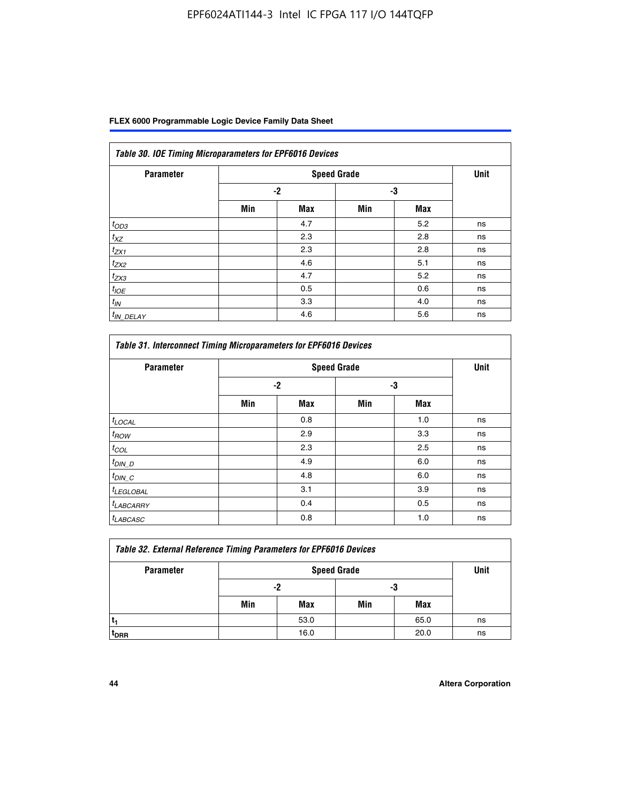| Table 30. IOE Timing Microparameters for EPF6016 Devices |      |                    |     |            |      |  |  |  |  |  |
|----------------------------------------------------------|------|--------------------|-----|------------|------|--|--|--|--|--|
| <b>Parameter</b>                                         |      | <b>Speed Grade</b> |     |            | Unit |  |  |  |  |  |
|                                                          | $-2$ |                    | -3  |            |      |  |  |  |  |  |
|                                                          | Min  | <b>Max</b>         | Min | <b>Max</b> |      |  |  |  |  |  |
| $t_{OD3}$                                                |      | 4.7                |     | 5.2        | ns   |  |  |  |  |  |
| $t_{XZ}$                                                 |      | 2.3                |     | 2.8        | ns   |  |  |  |  |  |
| $t_{ZX1}$                                                |      | 2.3                |     | 2.8        | ns   |  |  |  |  |  |
| $t_{ZX2}$                                                |      | 4.6                |     | 5.1        | ns   |  |  |  |  |  |
| $t_{ZX3}$                                                |      | 4.7                |     | 5.2        | ns   |  |  |  |  |  |
| $t_{IOE}$                                                |      | 0.5                |     | 0.6        | ns   |  |  |  |  |  |
| $t_{IN}$                                                 |      | 3.3                |     | 4.0        | ns   |  |  |  |  |  |
| $t_{IN}$ DELAY                                           |      | 4.6                |     | 5.6        | ns   |  |  |  |  |  |

| <b>Parameter</b>      |      | <b>Speed Grade</b> |     |            | <b>Unit</b> |
|-----------------------|------|--------------------|-----|------------|-------------|
|                       | $-2$ |                    | -3  |            |             |
|                       | Min  | <b>Max</b>         | Min | <b>Max</b> |             |
| $t_{LOCAL}$           |      | 0.8                |     | 1.0        | ns          |
| $t_{ROW}$             |      | 2.9                |     | 3.3        | ns          |
| $t_{COL}$             |      | 2.3                |     | 2.5        | ns          |
| $t_{DIN\_D}$          |      | 4.9                |     | 6.0        | ns          |
| $t_{DIN\_C}$          |      | 4.8                |     | 6.0        | ns          |
| <sup>t</sup> LEGLOBAL |      | 3.1                |     | 3.9        | ns          |
| <sup>t</sup> LABCARRY |      | 0.4                |     | 0.5        | ns          |
| <sup>t</sup> LABCASC  |      | 0.8                |     | 1.0        | ns          |

| <b>Table 32. External Reference Timing Parameters for EPF6016 Devices</b> |     |      |                    |      |      |  |  |  |
|---------------------------------------------------------------------------|-----|------|--------------------|------|------|--|--|--|
| <b>Parameter</b>                                                          |     |      | <b>Speed Grade</b> |      | Unit |  |  |  |
|                                                                           | -2  |      | -3                 |      |      |  |  |  |
|                                                                           | Min | Max  | Min                | Max  |      |  |  |  |
|                                                                           |     | 53.0 |                    | 65.0 | ns   |  |  |  |
| <sup>T</sup> DRR                                                          |     | 16.0 |                    | 20.0 | ns   |  |  |  |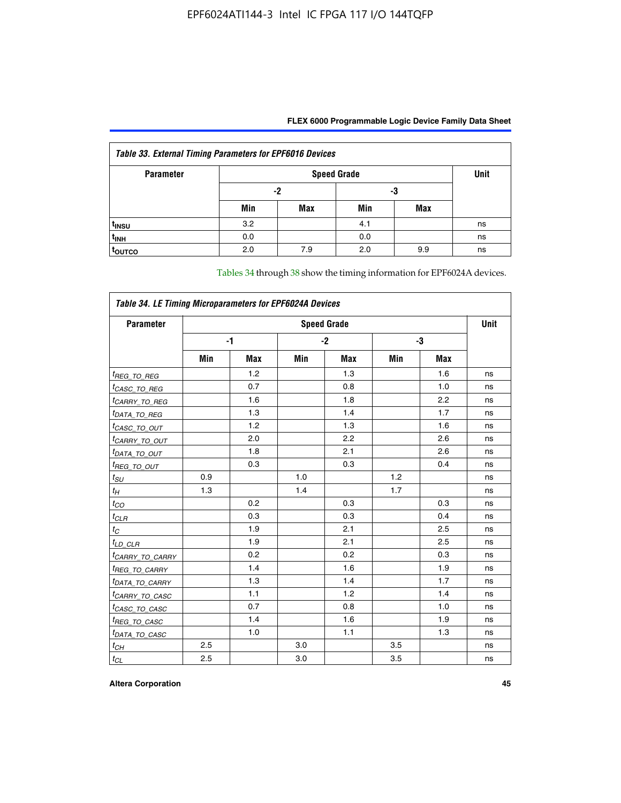| FLEX 6000 Programmable Logic Device Family Data Sheet |  |
|-------------------------------------------------------|--|
|                                                       |  |

| <b>Table 33. External Timing Parameters for EPF6016 Devices</b> |     |                    |     |            |    |  |  |  |  |  |
|-----------------------------------------------------------------|-----|--------------------|-----|------------|----|--|--|--|--|--|
| <b>Parameter</b>                                                |     | <b>Speed Grade</b> |     |            |    |  |  |  |  |  |
|                                                                 | -2  |                    | -3  |            |    |  |  |  |  |  |
|                                                                 | Min | Max                | Min | <b>Max</b> |    |  |  |  |  |  |
| t <sub>INSU</sub>                                               | 3.2 |                    | 4.1 |            | ns |  |  |  |  |  |
| $t_{INH}$                                                       | 0.0 |                    | 0.0 |            | ns |  |  |  |  |  |
| <b>TOUTCO</b>                                                   | 2.0 | 7.9                | 2.0 | 9.9        | ns |  |  |  |  |  |

Tables 34 through 38 show the timing information for EPF6024A devices.

| Table 34. LE Timing Microparameters for EPF6024A Devices |                    |            |     |            |     |            |    |  |  |
|----------------------------------------------------------|--------------------|------------|-----|------------|-----|------------|----|--|--|
| <b>Parameter</b>                                         | <b>Speed Grade</b> |            |     |            |     |            |    |  |  |
|                                                          | -1                 |            |     | $-2$       |     | -3         |    |  |  |
|                                                          | Min                | <b>Max</b> | Min | <b>Max</b> | Min | <b>Max</b> |    |  |  |
| <sup>t</sup> REG_TO_REG                                  |                    | 1.2        |     | 1.3        |     | 1.6        | ns |  |  |
| <sup>t</sup> CASC_TO_REG                                 |                    | 0.7        |     | 0.8        |     | 1.0        | ns |  |  |
| <sup>t</sup> CARRY_TO_REG                                |                    | 1.6        |     | 1.8        |     | 2.2        | ns |  |  |
| <sup>t</sup> DATA_TO_REG                                 |                    | 1.3        |     | 1.4        |     | 1.7        | ns |  |  |
| <i>tcasc_to_out</i>                                      |                    | 1.2        |     | 1.3        |     | 1.6        | ns |  |  |
| <sup>t</sup> CARRY_TO_OUT                                |                    | 2.0        |     | 2.2        |     | 2.6        | ns |  |  |
| <sup>t</sup> DATA_TO_OUT                                 |                    | 1.8        |     | 2.1        |     | 2.6        | ns |  |  |
| <sup>t</sup> REG_TO_OUT                                  |                    | 0.3        |     | 0.3        |     | 0.4        | ns |  |  |
| $t_{SU}$                                                 | 0.9                |            | 1.0 |            | 1.2 |            | ns |  |  |
| $t_{\mathcal{H}}$                                        | 1.3                |            | 1.4 |            | 1.7 |            | ns |  |  |
| $t_{CO}$                                                 |                    | 0.2        |     | 0.3        |     | 0.3        | ns |  |  |
| $t_{CLR}$                                                |                    | 0.3        |     | 0.3        |     | 0.4        | ns |  |  |
| $t_C$                                                    |                    | 1.9        |     | 2.1        |     | 2.5        | ns |  |  |
| $t_{LD\_CLR}$                                            |                    | 1.9        |     | 2.1        |     | 2.5        | ns |  |  |
| <sup>t</sup> CAR <u>RY_TO_CARRY</u>                      |                    | 0.2        |     | 0.2        |     | 0.3        | ns |  |  |
| <sup>t</sup> REG_TO_CARRY                                |                    | 1.4        |     | 1.6        |     | 1.9        | ns |  |  |
| <sup>t</sup> DATA_TO_CARRY                               |                    | 1.3        |     | 1.4        |     | 1.7        | ns |  |  |
| <sup>t</sup> CARRY_TO_CASC                               |                    | 1.1        |     | 1.2        |     | 1.4        | ns |  |  |
| <sup>t</sup> CASC_TO_CASC                                |                    | 0.7        |     | 0.8        |     | 1.0        | ns |  |  |
| <sup>t</sup> REG_TO_CASC                                 |                    | 1.4        |     | 1.6        |     | 1.9        | ns |  |  |
| <sup>t</sup> DATA_TO_CASC                                |                    | 1.0        |     | 1.1        |     | 1.3        | ns |  |  |
| $t_{CH}$                                                 | 2.5                |            | 3.0 |            | 3.5 |            | ns |  |  |
| $t_{CL}$                                                 | 2.5                |            | 3.0 |            | 3.5 |            | ns |  |  |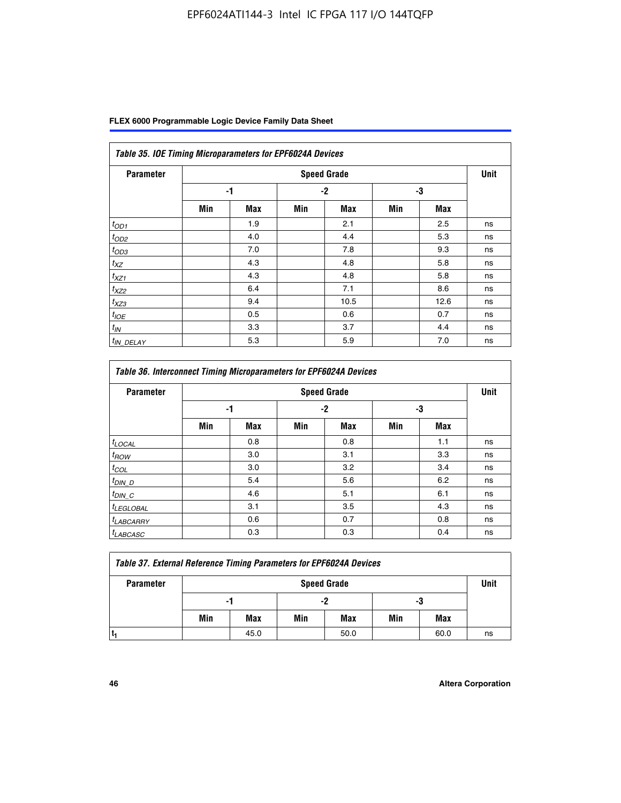|  | FLEX 6000 Programmable Logic Device Family Data Sheet |  |  |
|--|-------------------------------------------------------|--|--|
|--|-------------------------------------------------------|--|--|

| Table 35. IOE Timing Microparameters for EPF6024A Devices |     |            |      |                    |     |            |             |  |  |  |
|-----------------------------------------------------------|-----|------------|------|--------------------|-----|------------|-------------|--|--|--|
| <b>Parameter</b>                                          |     |            |      | <b>Speed Grade</b> |     |            | <b>Unit</b> |  |  |  |
|                                                           |     | -1         | $-2$ |                    | -3  |            |             |  |  |  |
|                                                           | Min | <b>Max</b> | Min  | <b>Max</b>         | Min | <b>Max</b> |             |  |  |  |
| $t_{OD1}$                                                 |     | 1.9        |      | 2.1                |     | 2.5        | ns          |  |  |  |
| $t_{OD2}$                                                 |     | 4.0        |      | 4.4                |     | 5.3        | ns          |  |  |  |
| $t_{OD3}$                                                 |     | 7.0        |      | 7.8                |     | 9.3        | ns          |  |  |  |
| $t_{XZ}$                                                  |     | 4.3        |      | 4.8                |     | 5.8        | ns          |  |  |  |
| $t_{XZ1}$                                                 |     | 4.3        |      | 4.8                |     | 5.8        | ns          |  |  |  |
| $t_{XZ2}$                                                 |     | 6.4        |      | 7.1                |     | 8.6        | ns          |  |  |  |
| $t_{XZ3}$                                                 |     | 9.4        |      | 10.5               |     | 12.6       | ns          |  |  |  |
| $t_{IOE}$                                                 |     | 0.5        |      | 0.6                |     | 0.7        | ns          |  |  |  |
| $t_{IN}$                                                  |     | 3.3        |      | 3.7                |     | 4.4        | ns          |  |  |  |
| <sup>t</sup> IN_DELAY                                     |     | 5.3        |      | 5.9                |     | 7.0        | ns          |  |  |  |

| <b>Table 36. Interconnect Timing Microparameters for EPF6024A Devices</b> |     |            |     |                    |     |            |             |  |  |  |
|---------------------------------------------------------------------------|-----|------------|-----|--------------------|-----|------------|-------------|--|--|--|
| <b>Parameter</b>                                                          |     |            |     | <b>Speed Grade</b> |     |            | <b>Unit</b> |  |  |  |
|                                                                           |     | -1         |     | -2                 |     | -3         |             |  |  |  |
|                                                                           | Min | <b>Max</b> | Min | <b>Max</b>         | Min | <b>Max</b> |             |  |  |  |
| $t_{LOCAL}$                                                               |     | 0.8        |     | 0.8                |     | 1.1        | ns          |  |  |  |
| $t_{ROW}$                                                                 |     | 3.0        |     | 3.1                |     | 3.3        | ns          |  |  |  |
| $t_{COL}$                                                                 |     | 3.0        |     | 3.2                |     | 3.4        | ns          |  |  |  |
| $t_{DIN\_D}$                                                              |     | 5.4        |     | 5.6                |     | 6.2        | ns          |  |  |  |
| $t_{DIN\_C}$                                                              |     | 4.6        |     | 5.1                |     | 6.1        | ns          |  |  |  |
| $t_{LEGLOBAL}$                                                            |     | 3.1        |     | 3.5                |     | 4.3        | ns          |  |  |  |
| $t_{LABCARAY}$                                                            |     | 0.6        |     | 0.7                |     | 0.8        | ns          |  |  |  |
| <sup>t</sup> LABCASC                                                      |     | 0.3        |     | 0.3                |     | 0.4        | ns          |  |  |  |

| <b>Table 37. External Reference Timing Parameters for EPF6024A Devices</b> |                    |      |     |      |     |      |      |
|----------------------------------------------------------------------------|--------------------|------|-----|------|-----|------|------|
| <b>Parameter</b>                                                           | <b>Speed Grade</b> |      |     |      |     |      | Unit |
|                                                                            | -1                 |      | -2  |      | -3  |      |      |
|                                                                            | Min                | Max  | Min | Max  | Min | Max  |      |
|                                                                            |                    | 45.0 |     | 50.0 |     | 60.0 | ns   |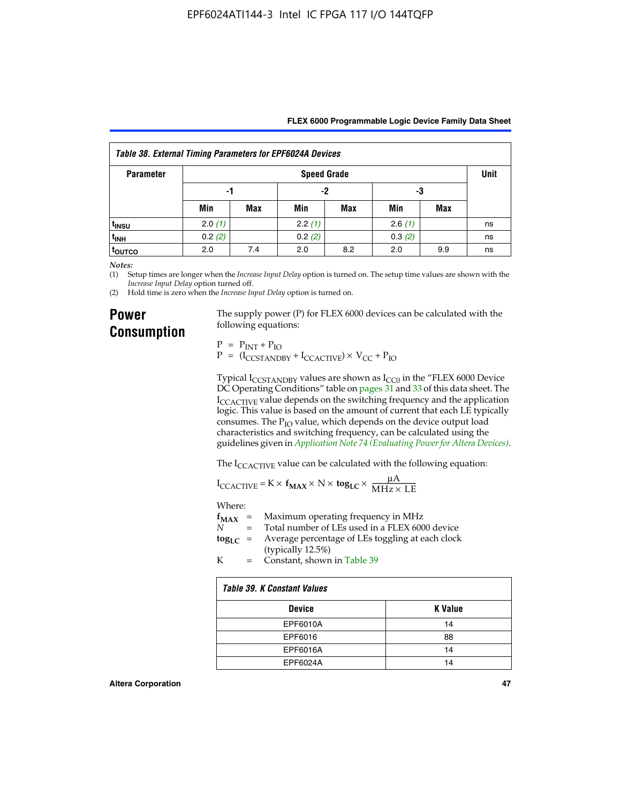| Table 38. External Timing Parameters for EPF6024A Devices |                    |            |        |     |        |     |    |
|-----------------------------------------------------------|--------------------|------------|--------|-----|--------|-----|----|
| <b>Parameter</b>                                          | <b>Speed Grade</b> |            |        |     |        |     |    |
|                                                           | -1                 |            | $-2$   |     | -3     |     |    |
|                                                           | Min                | <b>Max</b> | Min    | Max | Min    | Max |    |
| t <sub>INSU</sub>                                         | 2.0(1)             |            | 2.2(1) |     | 2.6(1) |     | ns |
| <sup>t</sup> inh                                          | 0.2(2)             |            | 0.2(2) |     | 0.3(2) |     | ns |
| <sup>I</sup> OUTCO                                        | 2.0                | 7.4        | 2.0    | 8.2 | 2.0    | 9.9 | ns |

*Notes:*

(1) Setup times are longer when the *Increase Input Delay* option is turned on. The setup time values are shown with the *Increase Input Delay* option turned off.

(2) Hold time is zero when the *Increase Input Delay* option is turned on.

### **Power Consumption**

The supply power (P) for FLEX 6000 devices can be calculated with the following equations:

 $P = P_{INT} + P_{IO}$  $P = (I_{CCTANDBY} + I_{CCACTIVE}) \times V_{CC} + P_{IO}$ 

Typical  $I_{CCSTANDBY}$  values are shown as  $I_{CC0}$  in the "FLEX 6000 Device DC Operating Conditions" table on pages 31 and 33 of this data sheet. The I<sub>CCACTIVE</sub> value depends on the switching frequency and the application logic. This value is based on the amount of current that each LE typically consumes. The  $P_{IO}$  value, which depends on the device output load characteristics and switching frequency, can be calculated using the guidelines given in *[Application Note 74 \(Evaluating Power for Altera Devices\)](http://www.altera.com/literature/an/an074.pdf)*.

The I<sub>CCACTIVE</sub> value can be calculated with the following equation:

$$
I_{\text{CCACTIVE}} = K \times f_{\text{MAX}} \times N \times \text{tog}_{\text{LC}} \times \frac{\mu A}{\text{MHz} \times \text{LE}}
$$

Where:

|   | $f_{MAX}$ = Maximum operating frequency in MHz                                                     |
|---|----------------------------------------------------------------------------------------------------|
| N | = Total number of LEs used in a FLEX 6000 device                                                   |
|   | $\log_{LC}$ = Average percentage of LEs toggling at each clock<br>$(1 \cdot 11 \cdot 10 \cdot 10)$ |

(typically 12.5%) K = Constant, shown in Table 39

| <b>Table 39. K Constant Values</b> |         |  |  |  |
|------------------------------------|---------|--|--|--|
| <b>Device</b>                      | K Value |  |  |  |
| EPF6010A                           | 14      |  |  |  |
| EPF6016                            | 88      |  |  |  |
| EPF6016A                           | 14      |  |  |  |
| EPF6024A                           | 14      |  |  |  |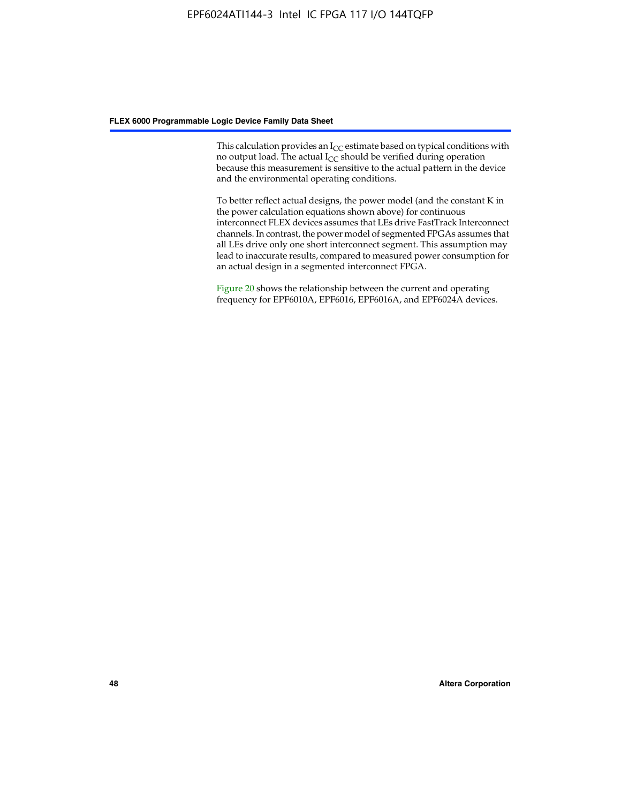This calculation provides an  $I_{CC}$  estimate based on typical conditions with no output load. The actual  $I_{CC}$  should be verified during operation because this measurement is sensitive to the actual pattern in the device and the environmental operating conditions.

To better reflect actual designs, the power model (and the constant K in the power calculation equations shown above) for continuous interconnect FLEX devices assumes that LEs drive FastTrack Interconnect channels. In contrast, the power model of segmented FPGAs assumes that all LEs drive only one short interconnect segment. This assumption may lead to inaccurate results, compared to measured power consumption for an actual design in a segmented interconnect FPGA.

Figure 20 shows the relationship between the current and operating frequency for EPF6010A, EPF6016, EPF6016A, and EPF6024A devices.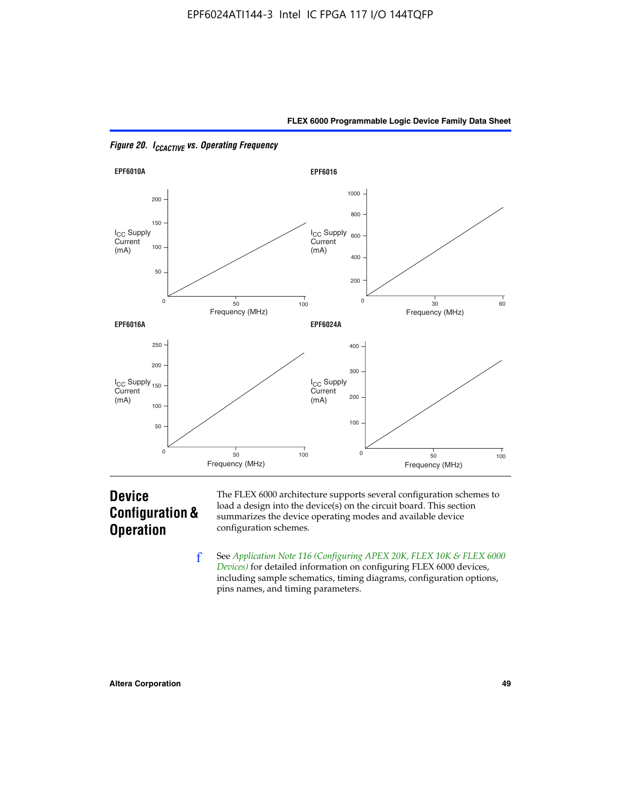



*Figure 20. ICCACTIVE vs. Operating Frequency* 

## **Device Configuration & Operation**

The FLEX 6000 architecture supports several configuration schemes to load a design into the device(s) on the circuit board. This section summarizes the device operating modes and available device configuration schemes.

f See *[Application Note 116 \(Configuring APEX 20K, FLEX 10K & FLEX 6000](http://www.altera.com/literature/an/an116.pdf)  [Devices\)](http://www.altera.com/literature/an/an116.pdf)* for detailed information on configuring FLEX 6000 devices, including sample schematics, timing diagrams, configuration options, pins names, and timing parameters.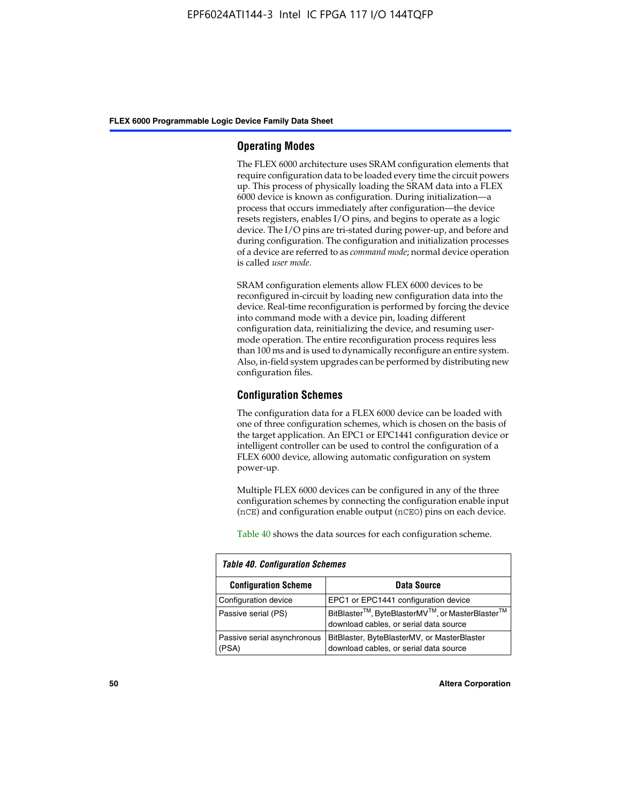#### **Operating Modes**

The FLEX 6000 architecture uses SRAM configuration elements that require configuration data to be loaded every time the circuit powers up. This process of physically loading the SRAM data into a FLEX 6000 device is known as configuration. During initialization—a process that occurs immediately after configuration—the device resets registers, enables I/O pins, and begins to operate as a logic device. The I/O pins are tri-stated during power-up, and before and during configuration. The configuration and initialization processes of a device are referred to as *command mode*; normal device operation is called *user mode*.

SRAM configuration elements allow FLEX 6000 devices to be reconfigured in-circuit by loading new configuration data into the device. Real-time reconfiguration is performed by forcing the device into command mode with a device pin, loading different configuration data, reinitializing the device, and resuming usermode operation. The entire reconfiguration process requires less than 100 ms and is used to dynamically reconfigure an entire system. Also, in-field system upgrades can be performed by distributing new configuration files.

### **Configuration Schemes**

The configuration data for a FLEX 6000 device can be loaded with one of three configuration schemes, which is chosen on the basis of the target application. An EPC1 or EPC1441 configuration device or intelligent controller can be used to control the configuration of a FLEX 6000 device, allowing automatic configuration on system power-up.

Multiple FLEX 6000 devices can be configured in any of the three configuration schemes by connecting the configuration enable input (nCE) and configuration enable output (nCEO) pins on each device.

Table 40 shows the data sources for each configuration scheme.

| <b>Table 40. Configuration Schemes</b> |                                                                                                                                |  |  |  |
|----------------------------------------|--------------------------------------------------------------------------------------------------------------------------------|--|--|--|
| <b>Configuration Scheme</b>            | <b>Data Source</b>                                                                                                             |  |  |  |
| Configuration device                   | EPC1 or EPC1441 configuration device                                                                                           |  |  |  |
| Passive serial (PS)                    | BitBlaster <sup>™</sup> , ByteBlasterMV <sup>™</sup> , or MasterBlaster <sup>™</sup><br>download cables, or serial data source |  |  |  |
| Passive serial asynchronous<br>(PSA)   | BitBlaster, ByteBlasterMV, or MasterBlaster<br>download cables, or serial data source                                          |  |  |  |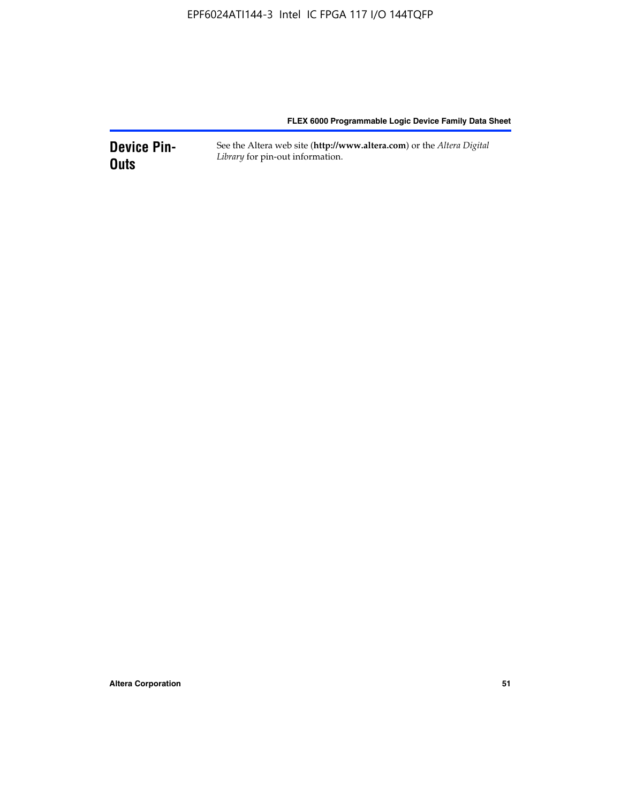**Device Pin-Outs** See the Altera web site (**http://www.altera.com**) or the *Altera Digital Library* for pin-out information.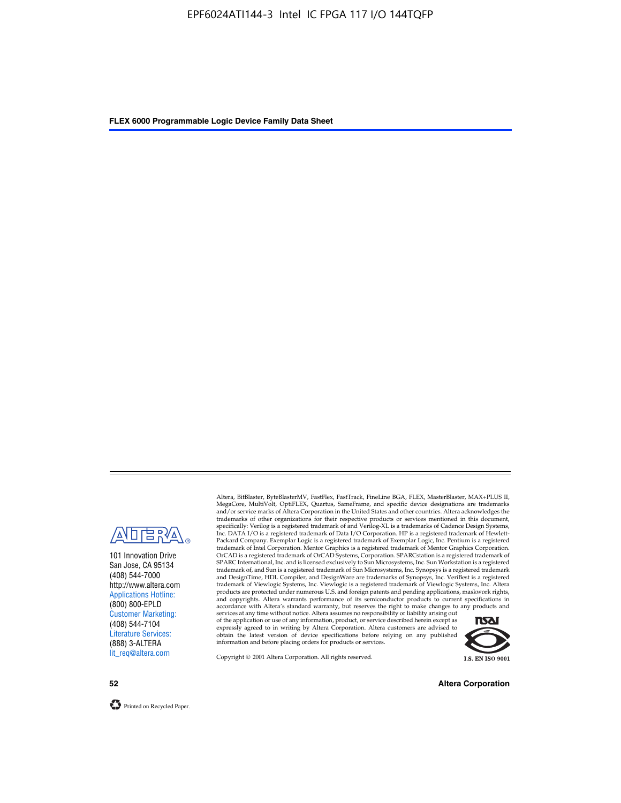

101 Innovation Drive San Jose, CA 95134 (408) 544-7000 http://www.altera.com Applications Hotline: (800) 800-EPLD Customer Marketing: (408) 544-7104 Literature Services: (888) 3-ALTERA lit\_req@altera.com

Altera, BitBlaster, ByteBlasterMV, FastFlex, FastTrack, FineLine BGA, FLEX, MasterBlaster, MAX+PLUS II, MegaCore, MultiVolt, OptiFLEX, Quartus, SameFrame, and specific device designations are trademarks and/or service marks of Altera Corporation in the United States and other countries. Altera acknowledges the trademarks of other organizations for their respective products or services mentioned in this document, specifically: Verilog is a registered trademark of and Verilog-XL is a trademarks of Cadence Design Systems,<br>Inc. DATA I/O is a registered trademark of Data I/O Corporation. HP is a registered trademark of Hewlett-<br>Packard trademark of Intel Corporation. Mentor Graphics is a registered trademark of Mentor Graphics Corporation. OrCAD is a registered trademark of OrCAD Systems, Corporation. SPARCstation is a registered trademark of SPARC International, Inc. and is licensed exclusively to Sun Microsystems, Inc. Sun Workstation is a registered trademark of, and Sun is a registered trademark of Sun Microsystems, Inc. Synopsys is a registered trademark and DesignTime, HDL Compiler, and DesignWare are trademarks of Synopsys, Inc. VeriBest is a registered<br>trademark of Viewlogic Systems, Inc. Viewlogic is a registered trademark of Viewlogic Systems, Inc. Altera<br>products are

of the application or use of any information, product, or service described herein except as<br>expressly agreed to in writing by Altera Corporation. Altera customers are advised to<br>obtain the latest version of device specifi



Copyright © 2001 Altera Corporation. All rights reserved.

**52 Altera Corporation**

Printed on Recycled Paper.